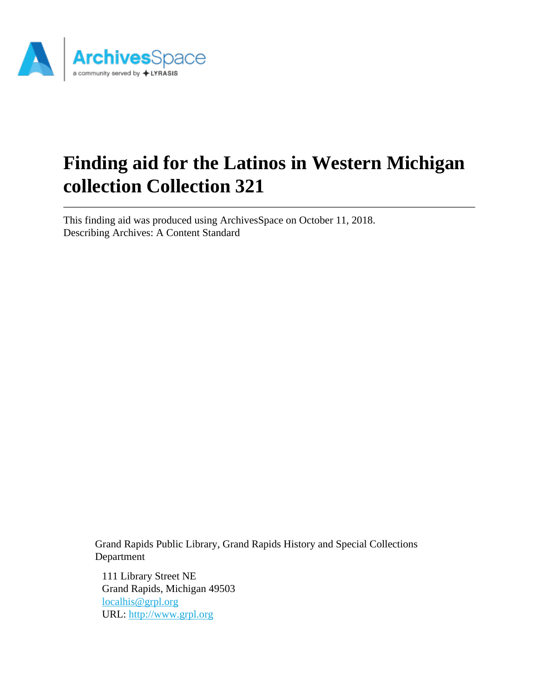

# **Finding aid for the Latinos in Western Michigan collection Collection 321**

This finding aid was produced using ArchivesSpace on October 11, 2018. Describing Archives: A Content Standard

> Grand Rapids Public Library, Grand Rapids History and Special Collections Department

111 Library Street NE Grand Rapids, Michigan 49503 [localhis@grpl.org](mailto:localhis@grpl.org) URL:<http://www.grpl.org>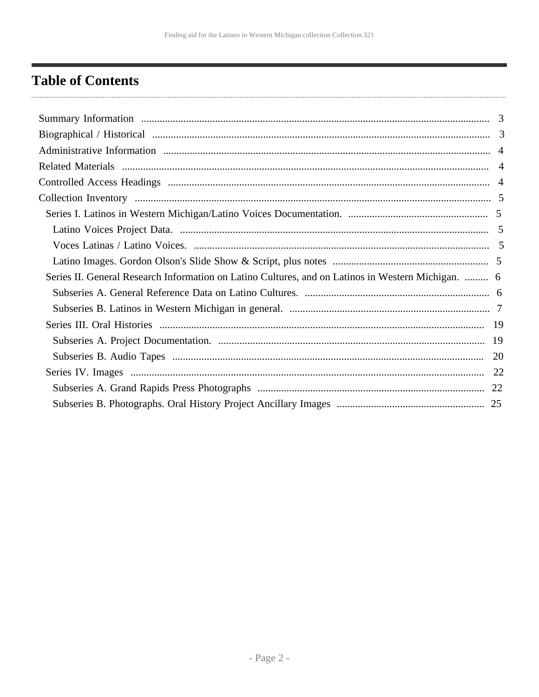## <span id="page-1-0"></span>**Table of Contents**

| Series II. General Research Information on Latino Cultures, and on Latinos in Western Michigan.  6 |  |
|----------------------------------------------------------------------------------------------------|--|
|                                                                                                    |  |
|                                                                                                    |  |
|                                                                                                    |  |
|                                                                                                    |  |
|                                                                                                    |  |
|                                                                                                    |  |
|                                                                                                    |  |
|                                                                                                    |  |
|                                                                                                    |  |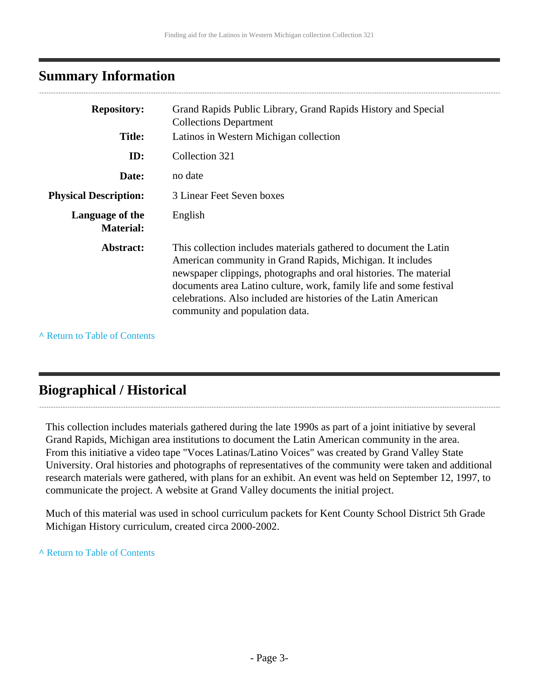### <span id="page-2-0"></span>**Summary Information**

| <b>Repository:</b>                  | Grand Rapids Public Library, Grand Rapids History and Special<br><b>Collections Department</b>                                                                                                                                                                                                                                                                                 |
|-------------------------------------|--------------------------------------------------------------------------------------------------------------------------------------------------------------------------------------------------------------------------------------------------------------------------------------------------------------------------------------------------------------------------------|
| <b>Title:</b>                       | Latinos in Western Michigan collection                                                                                                                                                                                                                                                                                                                                         |
| ID:                                 | Collection 321                                                                                                                                                                                                                                                                                                                                                                 |
| Date:                               | no date                                                                                                                                                                                                                                                                                                                                                                        |
| <b>Physical Description:</b>        | 3 Linear Feet Seven boxes                                                                                                                                                                                                                                                                                                                                                      |
| Language of the<br><b>Material:</b> | English                                                                                                                                                                                                                                                                                                                                                                        |
| Abstract:                           | This collection includes materials gathered to document the Latin<br>American community in Grand Rapids, Michigan. It includes<br>newspaper clippings, photographs and oral histories. The material<br>documents area Latino culture, work, family life and some festival<br>celebrations. Also included are histories of the Latin American<br>community and population data. |

**^** [Return to Table of Contents](#page-1-0)

## <span id="page-2-1"></span>**Biographical / Historical**

This collection includes materials gathered during the late 1990s as part of a joint initiative by several Grand Rapids, Michigan area institutions to document the Latin American community in the area. From this initiative a video tape "Voces Latinas/Latino Voices" was created by Grand Valley State University. Oral histories and photographs of representatives of the community were taken and additional research materials were gathered, with plans for an exhibit. An event was held on September 12, 1997, to communicate the project. A website at Grand Valley documents the initial project.

Much of this material was used in school curriculum packets for Kent County School District 5th Grade Michigan History curriculum, created circa 2000-2002.

#### **^** [Return to Table of Contents](#page-1-0)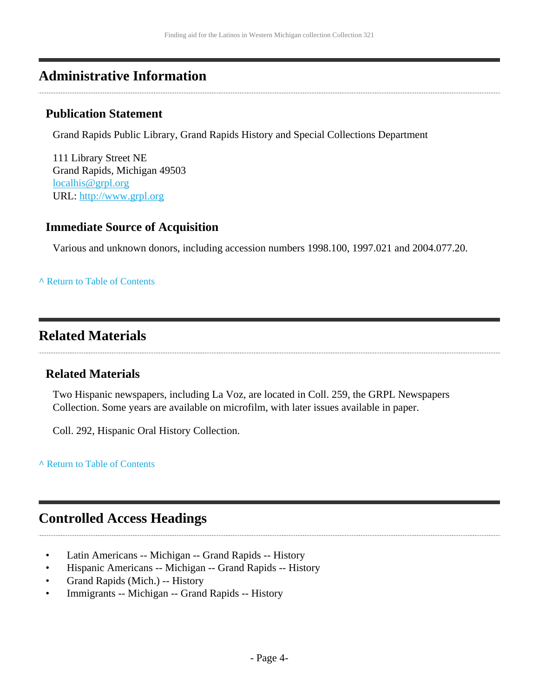### <span id="page-3-0"></span>**Administrative Information**

#### **Publication Statement**

Grand Rapids Public Library, Grand Rapids History and Special Collections Department

111 Library Street NE Grand Rapids, Michigan 49503 [localhis@grpl.org](mailto:localhis@grpl.org) URL:<http://www.grpl.org>

#### **Immediate Source of Acquisition**

Various and unknown donors, including accession numbers 1998.100, 1997.021 and 2004.077.20.

#### **^** [Return to Table of Contents](#page-1-0)

### <span id="page-3-1"></span>**Related Materials**

#### **Related Materials**

Two Hispanic newspapers, including La Voz, are located in Coll. 259, the GRPL Newspapers Collection. Some years are available on microfilm, with later issues available in paper.

Coll. 292, Hispanic Oral History Collection.

**^** [Return to Table of Contents](#page-1-0)

### <span id="page-3-2"></span>**Controlled Access Headings**

- Latin Americans -- Michigan -- Grand Rapids -- History
- Hispanic Americans -- Michigan -- Grand Rapids -- History
- Grand Rapids (Mich.) -- History
- Immigrants -- Michigan -- Grand Rapids -- History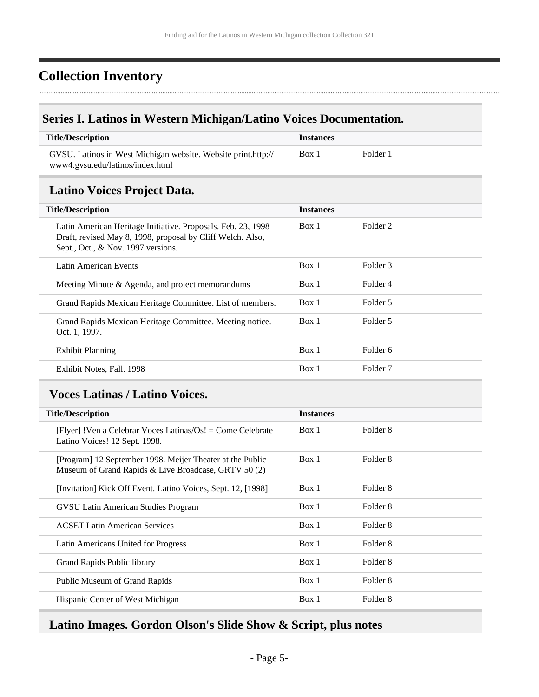## <span id="page-4-0"></span>**Collection Inventory**

### <span id="page-4-1"></span>**Series I. Latinos in Western Michigan/Latino Voices Documentation.**

| <b>Title/Description</b>                                                                          | <i>Instances</i> |          |
|---------------------------------------------------------------------------------------------------|------------------|----------|
| GVSU. Latinos in West Michigan website. Website print.http://<br>www4.gvsu.edu/latinos/index.html | Box 1            | Folder 1 |

### <span id="page-4-2"></span>**Latino Voices Project Data.**

| <b>Title/Description</b>                                                                                                                                         | <b>Instances</b> |                     |
|------------------------------------------------------------------------------------------------------------------------------------------------------------------|------------------|---------------------|
| Latin American Heritage Initiative. Proposals. Feb. 23, 1998<br>Draft, revised May 8, 1998, proposal by Cliff Welch. Also,<br>Sept., Oct., & Nov. 1997 versions. | Box 1            | Folder 2            |
| Latin American Events                                                                                                                                            | Box 1            | Folder 3            |
| Meeting Minute & Agenda, and project memorandums                                                                                                                 | Box 1            | Folder 4            |
| Grand Rapids Mexican Heritage Committee. List of members.                                                                                                        | Box 1            | Folder 5            |
| Grand Rapids Mexican Heritage Committee. Meeting notice.<br>Oct. 1, 1997.                                                                                        | Box 1            | Folder 5            |
| Exhibit Planning                                                                                                                                                 | Box 1            | Folder 6            |
| Exhibit Notes, Fall. 1998                                                                                                                                        | Box 1            | Folder <sub>7</sub> |
|                                                                                                                                                                  |                  |                     |

### <span id="page-4-3"></span>**Voces Latinas / Latino Voices.**

| <b>Title/Description</b>                                                                                          | <b>Instances</b> |                     |
|-------------------------------------------------------------------------------------------------------------------|------------------|---------------------|
| [Flyer] !Ven a Celebrar Voces Latinas/Os! = Come Celebrate<br>Latino Voices! 12 Sept. 1998.                       | Box 1            | Folder 8            |
| [Program] 12 September 1998. Meijer Theater at the Public<br>Museum of Grand Rapids & Live Broadcase, GRTV 50 (2) | Box 1            | Folder 8            |
| [Invitation] Kick Off Event. Latino Voices, Sept. 12, [1998]                                                      | Box 1            | Folder <sub>8</sub> |
| GVSU Latin American Studies Program                                                                               | Box 1            | Folder 8            |
| <b>ACSET Latin American Services</b>                                                                              | Box 1            | Folder 8            |
| Latin Americans United for Progress                                                                               | Box 1            | Folder 8            |
| Grand Rapids Public library                                                                                       | Box 1            | Folder 8            |
| Public Museum of Grand Rapids                                                                                     | Box 1            | Folder 8            |
| Hispanic Center of West Michigan                                                                                  | Box 1            | Folder 8            |
|                                                                                                                   |                  |                     |

### <span id="page-4-4"></span>**Latino Images. Gordon Olson's Slide Show & Script, plus notes**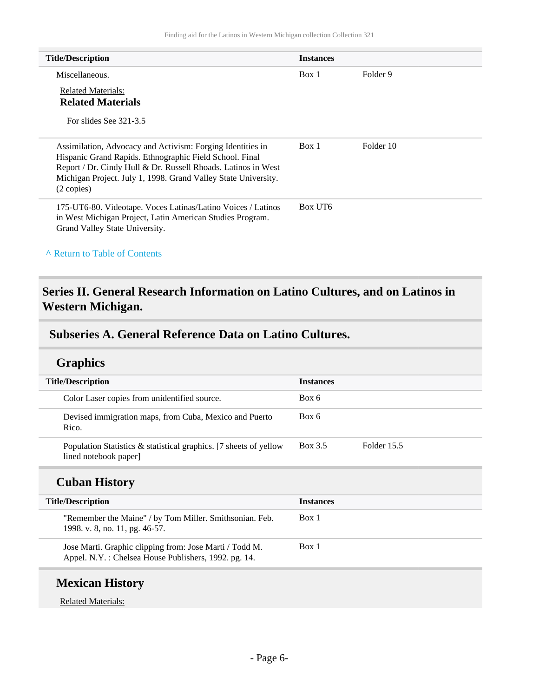| <b>Title/Description</b>                                                                                                                                                                                                                                                         | <b>Instances</b> |           |
|----------------------------------------------------------------------------------------------------------------------------------------------------------------------------------------------------------------------------------------------------------------------------------|------------------|-----------|
| Miscellaneous.                                                                                                                                                                                                                                                                   | Box 1            | Folder 9  |
| Related Materials:<br><b>Related Materials</b>                                                                                                                                                                                                                                   |                  |           |
| For slides See 321-3.5                                                                                                                                                                                                                                                           |                  |           |
| Assimilation, Advocacy and Activism: Forging Identities in<br>Hispanic Grand Rapids. Ethnographic Field School. Final<br>Report / Dr. Cindy Hull & Dr. Russell Rhoads. Latinos in West<br>Michigan Project. July 1, 1998. Grand Valley State University.<br>$(2 \text{ copies})$ | Box 1            | Folder 10 |
| 175-UT6-80. Videotape. Voces Latinas/Latino Voices / Latinos<br>in West Michigan Project, Latin American Studies Program.<br>Grand Valley State University.                                                                                                                      | Box UT6          |           |

**^** [Return to Table of Contents](#page-1-0)

### <span id="page-5-0"></span>**Series II. General Research Information on Latino Cultures, and on Latinos in Western Michigan.**

#### <span id="page-5-1"></span>**Subseries A. General Reference Data on Latino Cultures.**

#### **Graphics**

| <b>Title/Description</b>                                                                      | <b>Instances</b>       |
|-----------------------------------------------------------------------------------------------|------------------------|
| Color Laser copies from unidentified source.                                                  | Box 6                  |
| Devised immigration maps, from Cuba, Mexico and Puerto<br>Rico.                               | Box 6                  |
| Population Statistics $\&$ statistical graphics. [7 sheets of yellow<br>lined notebook paper] | Box 3.5<br>Folder 15.5 |

#### **Cuban History**

| <b>Title/Description</b>                                                                                        | <b>Instances</b> |
|-----------------------------------------------------------------------------------------------------------------|------------------|
| "Remember the Maine" / by Tom Miller. Smithsonian. Feb.<br>1998. v. 8, no. 11, pg. 46-57.                       | Box 1            |
| Jose Marti. Graphic clipping from: Jose Marti / Todd M.<br>Appel. N.Y.: Chelsea House Publishers, 1992. pg. 14. | Box 1            |

### **Mexican History**

Related Materials: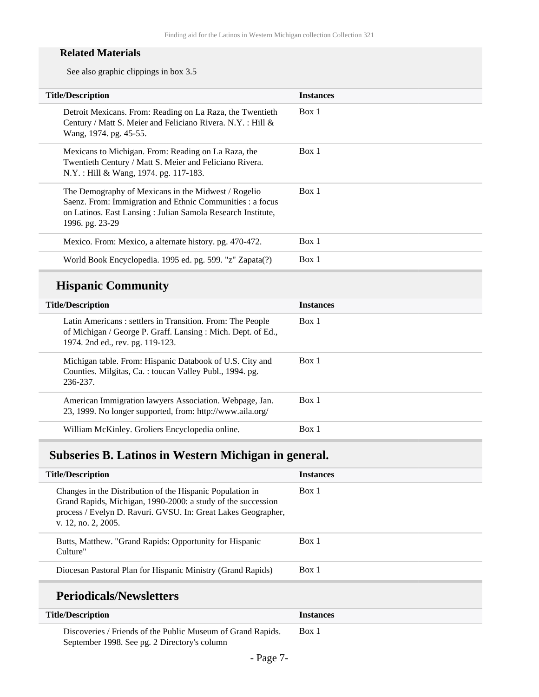#### **Related Materials**

See also graphic clippings in box 3.5

| <b>Title/Description</b>                                                                                                                                                                           | <b>Instances</b> |
|----------------------------------------------------------------------------------------------------------------------------------------------------------------------------------------------------|------------------|
| Detroit Mexicans. From: Reading on La Raza, the Twentieth<br>Century / Matt S. Meier and Feliciano Rivera. N.Y.: Hill &<br>Wang, 1974. pg. 45-55.                                                  | Box 1            |
| Mexicans to Michigan. From: Reading on La Raza, the<br>Twentieth Century / Matt S. Meier and Feliciano Rivera.<br>N.Y.: Hill & Wang, 1974. pg. 117-183.                                            | Box 1            |
| The Demography of Mexicans in the Midwest / Rogelio<br>Saenz. From: Immigration and Ethnic Communities : a focus<br>on Latinos. East Lansing: Julian Samola Research Institute,<br>1996. pg. 23-29 | Box 1            |
| Mexico. From: Mexico, a alternate history. pg. 470-472.                                                                                                                                            | Box 1            |
| World Book Encyclopedia. 1995 ed. pg. 599. "z" Zapata(?)                                                                                                                                           | Box 1            |
|                                                                                                                                                                                                    |                  |

## **Hispanic Community**

| <b>Title/Description</b>                                                                                                                                     | <b>Instances</b> |
|--------------------------------------------------------------------------------------------------------------------------------------------------------------|------------------|
| Latin Americans: settlers in Transition. From: The People<br>of Michigan / George P. Graff. Lansing: Mich. Dept. of Ed.,<br>1974. 2nd ed., rev. pg. 119-123. | Box 1            |
| Michigan table. From: Hispanic Databook of U.S. City and<br>Counties. Milgitas, Ca.: toucan Valley Publ., 1994. pg.<br>236-237.                              | Box 1            |
| American Immigration lawyers Association. Webpage, Jan.<br>23, 1999. No longer supported, from: http://www.aila.org/                                         | Box 1            |
| William McKinley. Groliers Encyclopedia online.                                                                                                              | Box 1            |
|                                                                                                                                                              |                  |

### <span id="page-6-0"></span>**Subseries B. Latinos in Western Michigan in general.**

| <b>Title/Description</b>                                                                                                                                                                                          | <b>Instances</b> |
|-------------------------------------------------------------------------------------------------------------------------------------------------------------------------------------------------------------------|------------------|
| Changes in the Distribution of the Hispanic Population in<br>Grand Rapids, Michigan, 1990-2000: a study of the succession<br>process / Evelyn D. Ravuri. GVSU. In: Great Lakes Geographer,<br>v. 12, no. 2, 2005. | Box 1            |
| Butts, Matthew. "Grand Rapids: Opportunity for Hispanic<br>Culture"                                                                                                                                               | Box 1            |
| Diocesan Pastoral Plan for Hispanic Ministry (Grand Rapids)                                                                                                                                                       | Box 1            |
|                                                                                                                                                                                                                   |                  |

#### **Periodicals/Newsletters**

| <b>Title/Description</b>                                    | <b>Instances</b> |
|-------------------------------------------------------------|------------------|
| Discoveries / Friends of the Public Museum of Grand Rapids. | Box 1            |
| September 1998. See pg. 2 Directory's column                |                  |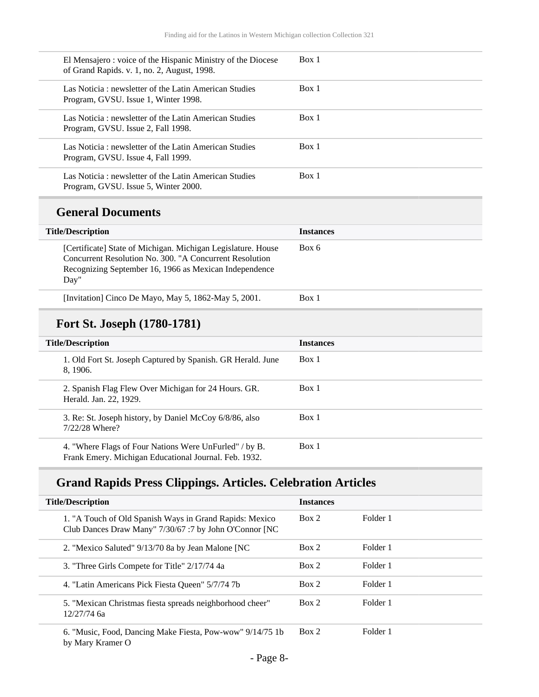| El Mensajero : voice of the Hispanic Ministry of the Diocese<br>of Grand Rapids. v. 1, no. 2, August, 1998. | Box 1 |
|-------------------------------------------------------------------------------------------------------------|-------|
| Las Noticia: newsletter of the Latin American Studies<br>Program, GVSU. Issue 1, Winter 1998.               | Box 1 |
| Las Noticia: newsletter of the Latin American Studies<br>Program, GVSU. Issue 2, Fall 1998.                 | Box 1 |
| Las Noticia: newsletter of the Latin American Studies<br>Program, GVSU. Issue 4, Fall 1999.                 | Box 1 |
| Las Noticia: newsletter of the Latin American Studies<br>Program, GVSU. Issue 5, Winter 2000.               | Box 1 |

#### **General Documents**

| <b>Title/Description</b>                                                                                                                                                                  | <b>Instances</b> |
|-------------------------------------------------------------------------------------------------------------------------------------------------------------------------------------------|------------------|
| [Certificate] State of Michigan. Michigan Legislature. House<br>Concurrent Resolution No. 300. "A Concurrent Resolution<br>Recognizing September 16, 1966 as Mexican Independence<br>Day" | Box 6            |
| [Invitation] Cinco De Mayo, May 5, 1862-May 5, 2001.                                                                                                                                      | Box 1            |

### **Fort St. Joseph (1780-1781)**

| <b>Title/Description</b>                                                                                        | <b>Instances</b> |
|-----------------------------------------------------------------------------------------------------------------|------------------|
| 1. Old Fort St. Joseph Captured by Spanish. GR Herald. June<br>8.1906.                                          | Box 1            |
| 2. Spanish Flag Flew Over Michigan for 24 Hours. GR.<br>Herald. Jan. 22, 1929.                                  | Box 1            |
| 3. Re: St. Joseph history, by Daniel McCoy 6/8/86, also<br>7/22/28 Where?                                       | Box 1            |
| 4. "Where Flags of Four Nations Were UnFurled" / by B.<br>Frank Emery. Michigan Educational Journal. Feb. 1932. | Box 1            |

### **Grand Rapids Press Clippings. Articles. Celebration Articles**

| <b>Title/Description</b>                                                                                          | <b>Instances</b> |          |
|-------------------------------------------------------------------------------------------------------------------|------------------|----------|
| 1. "A Touch of Old Spanish Ways in Grand Rapids: Mexico<br>Club Dances Draw Many" 7/30/67 :7 by John O'Connor [NC | Box 2            | Folder 1 |
| 2. "Mexico Saluted" 9/13/70 8a by Jean Malone [NC]                                                                | Box 2            | Folder 1 |
| 3. "Three Girls Compete for Title" 2/17/74 4a                                                                     | Box 2            | Folder 1 |
| 4. "Latin Americans Pick Fiesta Queen" 5/7/74 7b                                                                  | Box 2            | Folder 1 |
| 5. "Mexican Christmas fiesta spreads neighborhood cheer"<br>$12/27/74$ 6a                                         | Box 2            | Folder 1 |
| 6. "Music, Food, Dancing Make Fiesta, Pow-wow" 9/14/75 1b<br>by Mary Kramer O                                     | Box 2            | Folder 1 |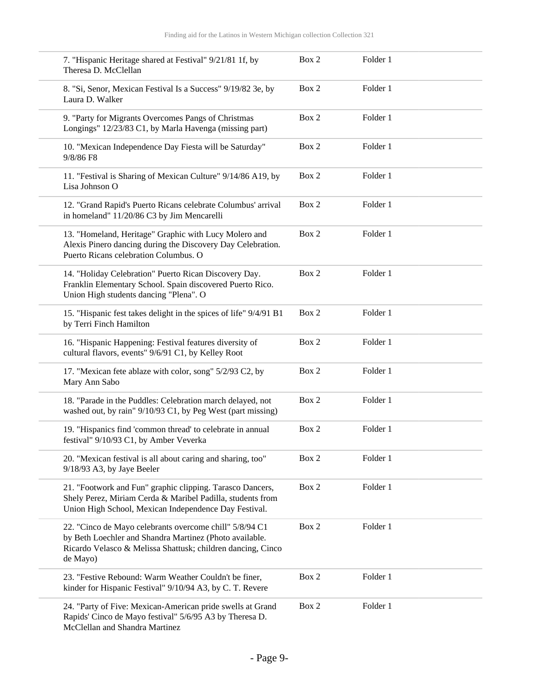| 7. "Hispanic Heritage shared at Festival" 9/21/81 1f, by<br>Theresa D. McClellan                                                                                                              | Box 2 | Folder 1 |  |
|-----------------------------------------------------------------------------------------------------------------------------------------------------------------------------------------------|-------|----------|--|
| 8. "Si, Senor, Mexican Festival Is a Success" 9/19/82 3e, by<br>Laura D. Walker                                                                                                               | Box 2 | Folder 1 |  |
| 9. "Party for Migrants Overcomes Pangs of Christmas<br>Longings" 12/23/83 C1, by Marla Havenga (missing part)                                                                                 | Box 2 | Folder 1 |  |
| 10. "Mexican Independence Day Fiesta will be Saturday"<br>9/8/86 F8                                                                                                                           | Box 2 | Folder 1 |  |
| 11. "Festival is Sharing of Mexican Culture" 9/14/86 A19, by<br>Lisa Johnson O                                                                                                                | Box 2 | Folder 1 |  |
| 12. "Grand Rapid's Puerto Ricans celebrate Columbus' arrival<br>in homeland" 11/20/86 C3 by Jim Mencarelli                                                                                    | Box 2 | Folder 1 |  |
| 13. "Homeland, Heritage" Graphic with Lucy Molero and<br>Alexis Pinero dancing during the Discovery Day Celebration.<br>Puerto Ricans celebration Columbus. O                                 | Box 2 | Folder 1 |  |
| 14. "Holiday Celebration" Puerto Rican Discovery Day.<br>Franklin Elementary School. Spain discovered Puerto Rico.<br>Union High students dancing "Plena". O                                  | Box 2 | Folder 1 |  |
| 15. "Hispanic fest takes delight in the spices of life" 9/4/91 B1<br>by Terri Finch Hamilton                                                                                                  | Box 2 | Folder 1 |  |
| 16. "Hispanic Happening: Festival features diversity of<br>cultural flavors, events" 9/6/91 C1, by Kelley Root                                                                                | Box 2 | Folder 1 |  |
| 17. "Mexican fete ablaze with color, song" 5/2/93 C2, by<br>Mary Ann Sabo                                                                                                                     | Box 2 | Folder 1 |  |
| 18. "Parade in the Puddles: Celebration march delayed, not<br>washed out, by rain" 9/10/93 C1, by Peg West (part missing)                                                                     | Box 2 | Folder 1 |  |
| 19. "Hispanics find 'common thread' to celebrate in annual<br>festival" 9/10/93 C1, by Amber Veverka                                                                                          | Box 2 | Folder 1 |  |
| 20. "Mexican festival is all about caring and sharing, too"<br>9/18/93 A3, by Jaye Beeler                                                                                                     | Box 2 | Folder 1 |  |
| 21. "Footwork and Fun" graphic clipping. Tarasco Dancers,<br>Shely Perez, Miriam Cerda & Maribel Padilla, students from<br>Union High School, Mexican Independence Day Festival.              | Box 2 | Folder 1 |  |
| 22. "Cinco de Mayo celebrants overcome chill" 5/8/94 C1<br>by Beth Loechler and Shandra Martinez (Photo available.<br>Ricardo Velasco & Melissa Shattusk; children dancing, Cinco<br>de Mayo) | Box 2 | Folder 1 |  |
| 23. "Festive Rebound: Warm Weather Couldn't be finer,<br>kinder for Hispanic Festival" 9/10/94 A3, by C. T. Revere                                                                            | Box 2 | Folder 1 |  |
| 24. "Party of Five: Mexican-American pride swells at Grand<br>Rapids' Cinco de Mayo festival" 5/6/95 A3 by Theresa D.<br>McClellan and Shandra Martinez                                       | Box 2 | Folder 1 |  |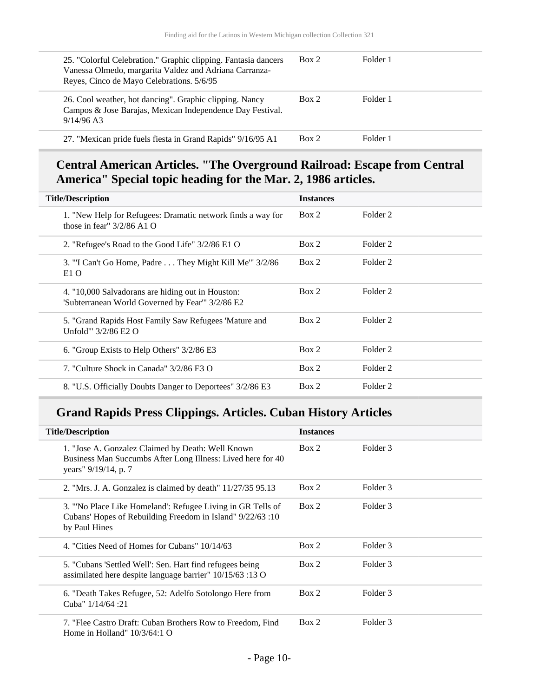| 25. "Colorful Celebration." Graphic clipping. Fantasia dancers<br>Vanessa Olmedo, margarita Valdez and Adriana Carranza-<br>Reyes, Cinco de Mayo Celebrations. 5/6/95 | Box 2 | Folder 1 |
|-----------------------------------------------------------------------------------------------------------------------------------------------------------------------|-------|----------|
| 26. Cool weather, hot dancing". Graphic clipping. Nancy<br>Campos & Jose Barajas, Mexican Independence Day Festival.<br>$9/14/96$ A3                                  | Box 2 | Folder 1 |
| 27. "Mexican pride fuels fiesta in Grand Rapids" 9/16/95 A1                                                                                                           | Box 2 | Folder 1 |

### **Central American Articles. "The Overground Railroad: Escape from Central America" Special topic heading for the Mar. 2, 1986 articles.**

| <b>Title/Description</b>                                                                              | <b>Instances</b> |                     |  |
|-------------------------------------------------------------------------------------------------------|------------------|---------------------|--|
| 1. "New Help for Refugees: Dramatic network finds a way for<br>those in fear" $3/2/86$ A1 O           | Box 2            | Folder 2            |  |
| 2. "Refugee's Road to the Good Life" 3/2/86 E1 O                                                      | Box 2            | Folder 2            |  |
| 3. "'I Can't Go Home, Padre They Might Kill Me'" 3/2/86<br>E <sub>1</sub> O                           | Box 2            | Folder 2            |  |
| 4. "10,000 Salvadorans are hiding out in Houston:<br>'Subterranean World Governed by Fear'" 3/2/86 E2 | Box 2            | Folder <sub>2</sub> |  |
| 5. "Grand Rapids Host Family Saw Refugees 'Mature and<br>Unfold'" $3/2/86$ E2 O                       | Box 2            | Folder 2            |  |
| 6. "Group Exists to Help Others" 3/2/86 E3                                                            | Box 2            | Folder <sub>2</sub> |  |
| 7. "Culture Shock in Canada" 3/2/86 E3 O                                                              | Box 2            | Folder <sub>2</sub> |  |
| 8. "U.S. Officially Doubts Danger to Deportees" 3/2/86 E3                                             | Box 2            | Folder <sub>2</sub> |  |

### **Grand Rapids Press Clippings. Articles. Cuban History Articles**

| <b>Title/Description</b>                                                                                                                 | <b>Instances</b> |          |
|------------------------------------------------------------------------------------------------------------------------------------------|------------------|----------|
| 1. "Jose A. Gonzalez Claimed by Death: Well Known<br>Business Man Succumbs After Long Illness: Lived here for 40<br>years" 9/19/14, p. 7 | Box 2            | Folder 3 |
| 2. "Mrs. J. A. Gonzalez is claimed by death" 11/27/35 95.13                                                                              | Box 2            | Folder 3 |
| 3. "No Place Like Homeland": Refugee Living in GR Tells of<br>Cubans' Hopes of Rebuilding Freedom in Island" 9/22/63:10<br>by Paul Hines | Box 2            | Folder 3 |
| 4. "Cities Need of Homes for Cubans" 10/14/63                                                                                            | Box 2            | Folder 3 |
| 5. "Cubans 'Settled Well': Sen. Hart find refugees being<br>assimilated here despite language barrier" $10/15/63$ :13 O                  | Box 2            | Folder 3 |
| 6. "Death Takes Refugee, 52: Adelfo Sotolongo Here from<br>Cuba" 1/14/64 :21                                                             | Box 2            | Folder 3 |
| 7. "Flee Castro Draft: Cuban Brothers Row to Freedom, Find<br>Home in Holland" $10/3/64:1$ O                                             | Box 2            | Folder 3 |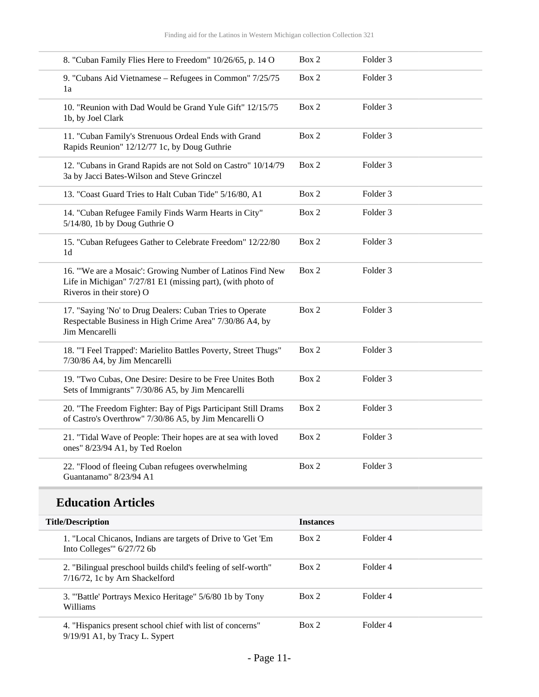| <b>Title/Description</b>                                                                                                                              | <b>Instances</b> |                     |
|-------------------------------------------------------------------------------------------------------------------------------------------------------|------------------|---------------------|
| <b>Education Articles</b>                                                                                                                             |                  |                     |
| 22. "Flood of fleeing Cuban refugees overwhelming<br>Guantanamo" 8/23/94 A1                                                                           | Box 2            | Folder <sub>3</sub> |
| 21. "Tidal Wave of People: Their hopes are at sea with loved<br>ones" 8/23/94 A1, by Ted Roelon                                                       | Box 2            | Folder <sub>3</sub> |
| 20. "The Freedom Fighter: Bay of Pigs Participant Still Drams<br>of Castro's Overthrow" 7/30/86 A5, by Jim Mencarelli O                               | Box 2            | Folder <sub>3</sub> |
| 19. "Two Cubas, One Desire: Desire to be Free Unites Both<br>Sets of Immigrants" 7/30/86 A5, by Jim Mencarelli                                        | Box 2            | Folder <sub>3</sub> |
| 18. "'I Feel Trapped': Marielito Battles Poverty, Street Thugs"<br>7/30/86 A4, by Jim Mencarelli                                                      | Box 2            | Folder 3            |
| 17. "Saying 'No' to Drug Dealers: Cuban Tries to Operate<br>Respectable Business in High Crime Area" 7/30/86 A4, by<br>Jim Mencarelli                 | Box 2            | Folder <sub>3</sub> |
| 16. "We are a Mosaic': Growing Number of Latinos Find New<br>Life in Michigan" 7/27/81 E1 (missing part), (with photo of<br>Riveros in their store) O | Box 2            | Folder <sub>3</sub> |
| 15. "Cuban Refugees Gather to Celebrate Freedom" 12/22/80<br>1 <sub>d</sub>                                                                           | Box 2            | Folder <sub>3</sub> |
| 14. "Cuban Refugee Family Finds Warm Hearts in City"<br>5/14/80, 1b by Doug Guthrie O                                                                 | Box 2            | Folder <sub>3</sub> |
| 13. "Coast Guard Tries to Halt Cuban Tide" 5/16/80, A1                                                                                                | Box 2            | Folder <sub>3</sub> |
| 12. "Cubans in Grand Rapids are not Sold on Castro" 10/14/79<br>3a by Jacci Bates-Wilson and Steve Grinczel                                           | Box 2            | Folder <sub>3</sub> |
| 11. "Cuban Family's Strenuous Ordeal Ends with Grand<br>Rapids Reunion" 12/12/77 1c, by Doug Guthrie                                                  | Box 2            | Folder <sub>3</sub> |
| 10. "Reunion with Dad Would be Grand Yule Gift" 12/15/75<br>1b, by Joel Clark                                                                         | Box 2            | Folder 3            |
| 9. "Cubans Aid Vietnamese - Refugees in Common" 7/25/75<br>1a                                                                                         | Box 2            | Folder <sub>3</sub> |
| 8. "Cuban Family Flies Here to Freedom" 10/26/65, p. 14 O                                                                                             | Box 2            | Folder <sub>3</sub> |

| <b>Title/Description</b>                                                                        | <b>Instances</b> |          |
|-------------------------------------------------------------------------------------------------|------------------|----------|
| 1. "Local Chicanos, Indians are targets of Drive to 'Get 'Em<br>Into Colleges'" $6/27/72$ 6b    | Box 2            | Folder 4 |
| 2. "Bilingual preschool builds child's feeling of self-worth"<br>7/16/72, 1c by Arn Shackelford | Box 2            | Folder 4 |
| 3. "Battle' Portrays Mexico Heritage" 5/6/80 1b by Tony<br>Williams                             | Box 2            | Folder 4 |
| 4. "Hispanics present school chief with list of concerns"<br>9/19/91 A1, by Tracy L. Sypert     | Box 2            | Folder 4 |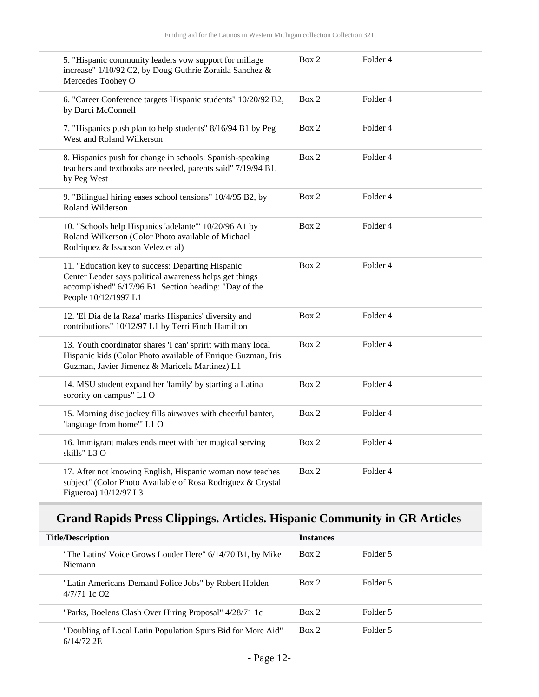| 5. "Hispanic community leaders vow support for millage<br>increase" 1/10/92 C2, by Doug Guthrie Zoraida Sanchez &<br>Mercedes Toohey O                                                         | Box 2 | Folder 4            |  |
|------------------------------------------------------------------------------------------------------------------------------------------------------------------------------------------------|-------|---------------------|--|
| 6. "Career Conference targets Hispanic students" 10/20/92 B2,<br>by Darci McConnell                                                                                                            | Box 2 | Folder <sub>4</sub> |  |
| 7. "Hispanics push plan to help students" 8/16/94 B1 by Peg<br>West and Roland Wilkerson                                                                                                       | Box 2 | Folder 4            |  |
| 8. Hispanics push for change in schools: Spanish-speaking<br>teachers and textbooks are needed, parents said" 7/19/94 B1,<br>by Peg West                                                       | Box 2 | Folder 4            |  |
| 9. "Bilingual hiring eases school tensions" 10/4/95 B2, by<br>Roland Wilderson                                                                                                                 | Box 2 | Folder 4            |  |
| 10. "Schools help Hispanics 'adelante'" 10/20/96 A1 by<br>Roland Wilkerson (Color Photo available of Michael<br>Rodriquez & Issacson Velez et al)                                              | Box 2 | Folder 4            |  |
| 11. "Education key to success: Departing Hispanic<br>Center Leader says political awareness helps get things<br>accomplished" 6/17/96 B1. Section heading: "Day of the<br>People 10/12/1997 L1 | Box 2 | Folder 4            |  |
| 12. 'El Dia de la Raza' marks Hispanics' diversity and<br>contributions" 10/12/97 L1 by Terri Finch Hamilton                                                                                   | Box 2 | Folder <sub>4</sub> |  |
| 13. Youth coordinator shares 'I can' spririt with many local<br>Hispanic kids (Color Photo available of Enrique Guzman, Iris<br>Guzman, Javier Jimenez & Maricela Martinez) L1                 | Box 2 | Folder 4            |  |
| 14. MSU student expand her 'family' by starting a Latina<br>sorority on campus" L1 O                                                                                                           | Box 2 | Folder 4            |  |
| 15. Morning disc jockey fills airwaves with cheerful banter,<br>'language from home'" L1 O                                                                                                     | Box 2 | Folder <sub>4</sub> |  |
| 16. Immigrant makes ends meet with her magical serving<br>skills" L3 O                                                                                                                         | Box 2 | Folder 4            |  |
| 17. After not knowing English, Hispanic woman now teaches<br>subject" (Color Photo Available of Rosa Rodriguez & Crystal<br>Figueroa) 10/12/97 L3                                              | Box 2 | Folder <sub>4</sub> |  |

## **Grand Rapids Press Clippings. Articles. Hispanic Community in GR Articles**

| <b>Title/Description</b>                                                    | <b>Instances</b> |          |  |
|-----------------------------------------------------------------------------|------------------|----------|--|
| "The Latins' Voice Grows Louder Here" 6/14/70 B1, by Mike<br>Niemann        | Box 2            | Folder 5 |  |
| "Latin Americans Demand Police Jobs" by Robert Holden<br>$4/7/71$ 1c $O2$   | Box 2            | Folder 5 |  |
| "Parks, Boelens Clash Over Hiring Proposal" 4/28/71 1c                      | Box 2            | Folder 5 |  |
| "Doubling of Local Latin Population Spurs Bid for More Aid"<br>$6/14/72$ 2E | Box 2            | Folder 5 |  |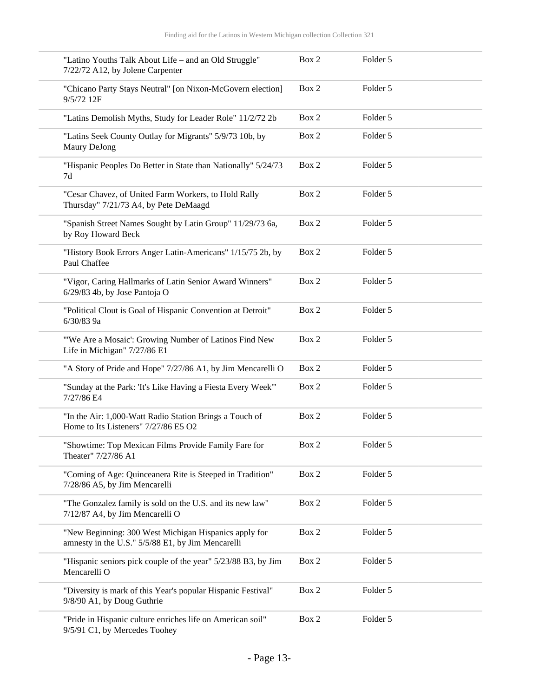| "Latino Youths Talk About Life - and an Old Struggle"<br>7/22/72 A12, by Jolene Carpenter                  | Box 2 | Folder 5 |
|------------------------------------------------------------------------------------------------------------|-------|----------|
| "Chicano Party Stays Neutral" [on Nixon-McGovern election]<br>9/5/72 12F                                   | Box 2 | Folder 5 |
| "Latins Demolish Myths, Study for Leader Role" 11/2/72 2b                                                  | Box 2 | Folder 5 |
| "Latins Seek County Outlay for Migrants" 5/9/73 10b, by<br>Maury DeJong                                    | Box 2 | Folder 5 |
| "Hispanic Peoples Do Better in State than Nationally" 5/24/73<br>7d                                        | Box 2 | Folder 5 |
| "Cesar Chavez, of United Farm Workers, to Hold Rally<br>Thursday" 7/21/73 A4, by Pete DeMaagd              | Box 2 | Folder 5 |
| "Spanish Street Names Sought by Latin Group" 11/29/73 6a,<br>by Roy Howard Beck                            | Box 2 | Folder 5 |
| "History Book Errors Anger Latin-Americans" 1/15/75 2b, by<br>Paul Chaffee                                 | Box 2 | Folder 5 |
| "Vigor, Caring Hallmarks of Latin Senior Award Winners"<br>6/29/83 4b, by Jose Pantoja O                   | Box 2 | Folder 5 |
| "Political Clout is Goal of Hispanic Convention at Detroit"<br>6/30/83 9a                                  | Box 2 | Folder 5 |
| "We Are a Mosaic': Growing Number of Latinos Find New<br>Life in Michigan" 7/27/86 E1                      | Box 2 | Folder 5 |
| "A Story of Pride and Hope" 7/27/86 A1, by Jim Mencarelli O                                                | Box 2 | Folder 5 |
| "Sunday at the Park: 'It's Like Having a Fiesta Every Week'"<br>7/27/86 E4                                 | Box 2 | Folder 5 |
| "In the Air: 1,000-Watt Radio Station Brings a Touch of<br>Home to Its Listeners" 7/27/86 E5 O2            | Box 2 | Folder 5 |
| "Showtime: Top Mexican Films Provide Family Fare for<br>Theater" 7/27/86 A1                                | Box 2 | Folder 5 |
| "Coming of Age: Quinceanera Rite is Steeped in Tradition"<br>7/28/86 A5, by Jim Mencarelli                 | Box 2 | Folder 5 |
| "The Gonzalez family is sold on the U.S. and its new law"<br>7/12/87 A4, by Jim Mencarelli O               | Box 2 | Folder 5 |
| "New Beginning: 300 West Michigan Hispanics apply for<br>amnesty in the U.S." 5/5/88 E1, by Jim Mencarelli | Box 2 | Folder 5 |
| "Hispanic seniors pick couple of the year" 5/23/88 B3, by Jim<br>Mencarelli O                              | Box 2 | Folder 5 |
| "Diversity is mark of this Year's popular Hispanic Festival"<br>9/8/90 A1, by Doug Guthrie                 | Box 2 | Folder 5 |
| "Pride in Hispanic culture enriches life on American soil"<br>9/5/91 C1, by Mercedes Toohey                | Box 2 | Folder 5 |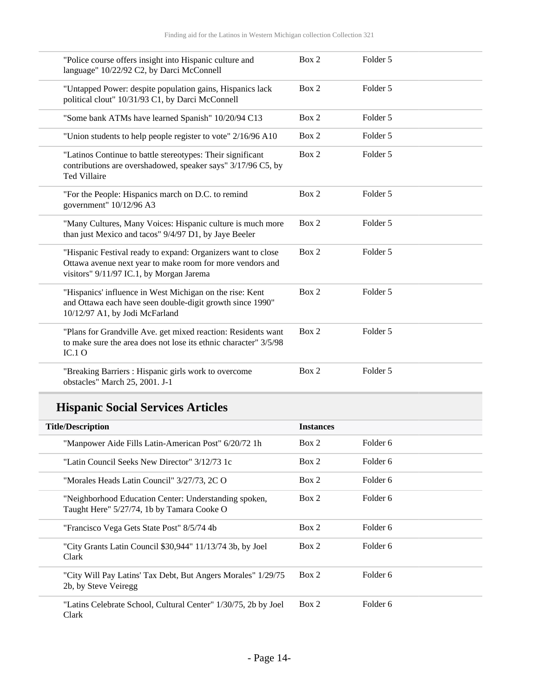| "Police course offers insight into Hispanic culture and<br>language" 10/22/92 C2, by Darci McConnell                                                                  | Box 2 | Folder 5 |
|-----------------------------------------------------------------------------------------------------------------------------------------------------------------------|-------|----------|
| "Untapped Power: despite population gains, Hispanics lack<br>political clout" 10/31/93 C1, by Darci McConnell                                                         | Box 2 | Folder 5 |
| "Some bank ATMs have learned Spanish" 10/20/94 C13                                                                                                                    | Box 2 | Folder 5 |
| "Union students to help people register to vote" 2/16/96 A10                                                                                                          | Box 2 | Folder 5 |
| "Latinos Continue to battle stereotypes: Their significant<br>contributions are overshadowed, speaker says" 3/17/96 C5, by<br><b>Ted Villaire</b>                     | Box 2 | Folder 5 |
| "For the People: Hispanics march on D.C. to remind<br>government" 10/12/96 A3                                                                                         | Box 2 | Folder 5 |
| "Many Cultures, Many Voices: Hispanic culture is much more<br>than just Mexico and tacos" 9/4/97 D1, by Jaye Beeler                                                   | Box 2 | Folder 5 |
| "Hispanic Festival ready to expand: Organizers want to close<br>Ottawa avenue next year to make room for more vendors and<br>visitors" 9/11/97 IC.1, by Morgan Jarema | Box 2 | Folder 5 |
| "Hispanics' influence in West Michigan on the rise: Kent<br>and Ottawa each have seen double-digit growth since 1990"<br>10/12/97 A1, by Jodi McFarland               | Box 2 | Folder 5 |
| "Plans for Grandville Ave. get mixed reaction: Residents want<br>to make sure the area does not lose its ethnic character" 3/5/98<br>IC.1O                            | Box 2 | Folder 5 |
| "Breaking Barriers : Hispanic girls work to overcome<br>obstacles" March 25, 2001. J-1                                                                                | Box 2 | Folder 5 |

## **Hispanic Social Services Articles**

| <b>Title/Description</b>                                                                            | <b>Instances</b> |          |
|-----------------------------------------------------------------------------------------------------|------------------|----------|
| "Manpower Aide Fills Latin-American Post" 6/20/72 1h                                                | Box 2            | Folder 6 |
| "Latin Council Seeks New Director" 3/12/73 1c                                                       | Box 2            | Folder 6 |
| "Morales Heads Latin Council" 3/27/73, 2C O                                                         | Box 2            | Folder 6 |
| "Neighborhood Education Center: Understanding spoken,<br>Taught Here" 5/27/74, 1b by Tamara Cooke O | Box 2            | Folder 6 |
| "Francisco Vega Gets State Post" 8/5/74 4b                                                          | Box 2            | Folder 6 |
| "City Grants Latin Council \$30,944" 11/13/74 3b, by Joel<br>Clark                                  | Box 2            | Folder 6 |
| "City Will Pay Latins' Tax Debt, But Angers Morales" 1/29/75<br>2b, by Steve Veiregg                | Box 2            | Folder 6 |
| "Latins Celebrate School, Cultural Center" 1/30/75, 2b by Joel<br>Clark                             | Box 2            | Folder 6 |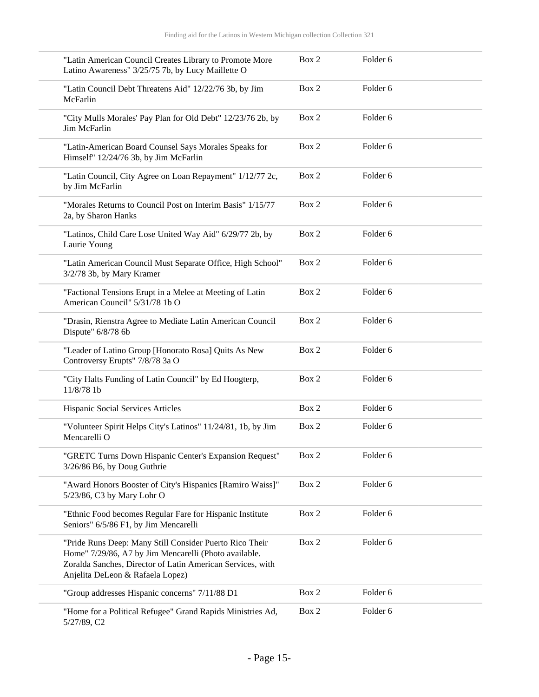| "Latin American Council Creates Library to Promote More<br>Latino Awareness" 3/25/75 7b, by Lucy Maillette O                                                                                                       | Box 2 | Folder <sub>6</sub> |
|--------------------------------------------------------------------------------------------------------------------------------------------------------------------------------------------------------------------|-------|---------------------|
| "Latin Council Debt Threatens Aid" 12/22/76 3b, by Jim<br>McFarlin                                                                                                                                                 | Box 2 | Folder <sub>6</sub> |
| "City Mulls Morales' Pay Plan for Old Debt" 12/23/76 2b, by<br>Jim McFarlin                                                                                                                                        | Box 2 | Folder <sub>6</sub> |
| "Latin-American Board Counsel Says Morales Speaks for<br>Himself" 12/24/76 3b, by Jim McFarlin                                                                                                                     | Box 2 | Folder 6            |
| "Latin Council, City Agree on Loan Repayment" 1/12/77 2c,<br>by Jim McFarlin                                                                                                                                       | Box 2 | Folder <sub>6</sub> |
| "Morales Returns to Council Post on Interim Basis" 1/15/77<br>2a, by Sharon Hanks                                                                                                                                  | Box 2 | Folder <sub>6</sub> |
| "Latinos, Child Care Lose United Way Aid" 6/29/77 2b, by<br>Laurie Young                                                                                                                                           | Box 2 | Folder <sub>6</sub> |
| "Latin American Council Must Separate Office, High School"<br>3/2/78 3b, by Mary Kramer                                                                                                                            | Box 2 | Folder <sub>6</sub> |
| "Factional Tensions Erupt in a Melee at Meeting of Latin<br>American Council" 5/31/78 1b O                                                                                                                         | Box 2 | Folder <sub>6</sub> |
| "Drasin, Rienstra Agree to Mediate Latin American Council<br>Dispute" 6/8/78 6b                                                                                                                                    | Box 2 | Folder 6            |
| "Leader of Latino Group [Honorato Rosa] Quits As New<br>Controversy Erupts" 7/8/78 3a O                                                                                                                            | Box 2 | Folder <sub>6</sub> |
| "City Halts Funding of Latin Council" by Ed Hoogterp,<br>11/8/78 1b                                                                                                                                                | Box 2 | Folder <sub>6</sub> |
| Hispanic Social Services Articles                                                                                                                                                                                  | Box 2 | Folder <sub>6</sub> |
| "Volunteer Spirit Helps City's Latinos" 11/24/81, 1b, by Jim<br>Mencarelli O                                                                                                                                       | Box 2 | Folder <sub>6</sub> |
| "GRETC Turns Down Hispanic Center's Expansion Request"<br>3/26/86 B6, by Doug Guthrie                                                                                                                              | Box 2 | Folder 6            |
| "Award Honors Booster of City's Hispanics [Ramiro Waiss]"<br>5/23/86, C3 by Mary Lohr O                                                                                                                            | Box 2 | Folder 6            |
| "Ethnic Food becomes Regular Fare for Hispanic Institute<br>Seniors" 6/5/86 F1, by Jim Mencarelli                                                                                                                  | Box 2 | Folder <sub>6</sub> |
| "Pride Runs Deep: Many Still Consider Puerto Rico Their<br>Home" 7/29/86, A7 by Jim Mencarelli (Photo available.<br>Zoralda Sanches, Director of Latin American Services, with<br>Anjelita DeLeon & Rafaela Lopez) | Box 2 | Folder 6            |
| "Group addresses Hispanic concerns" 7/11/88 D1                                                                                                                                                                     | Box 2 | Folder 6            |
| "Home for a Political Refugee" Grand Rapids Ministries Ad,<br>5/27/89, C2                                                                                                                                          | Box 2 | Folder 6            |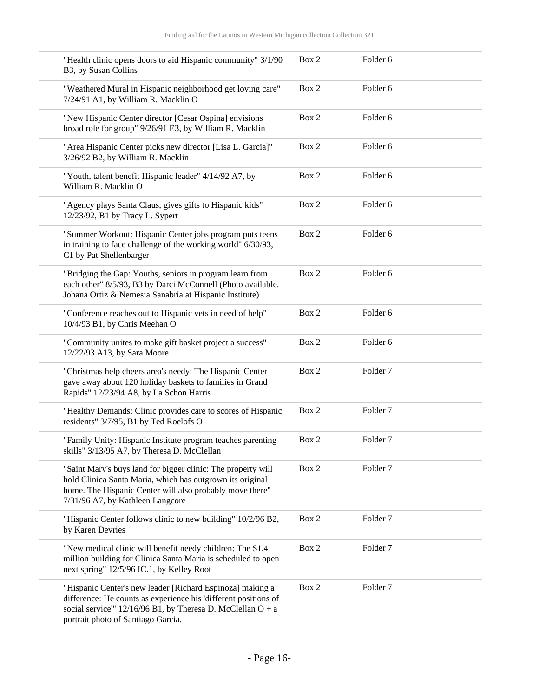| "Health clinic opens doors to aid Hispanic community" 3/1/90<br>B3, by Susan Collins                                                                                                                                               | Box 2 | Folder 6            |  |
|------------------------------------------------------------------------------------------------------------------------------------------------------------------------------------------------------------------------------------|-------|---------------------|--|
| "Weathered Mural in Hispanic neighborhood get loving care"<br>7/24/91 A1, by William R. Macklin O                                                                                                                                  | Box 2 | Folder 6            |  |
| "New Hispanic Center director [Cesar Ospina] envisions<br>broad role for group" 9/26/91 E3, by William R. Macklin                                                                                                                  | Box 2 | Folder 6            |  |
| "Area Hispanic Center picks new director [Lisa L. Garcia]"<br>3/26/92 B2, by William R. Macklin                                                                                                                                    | Box 2 | Folder 6            |  |
| "Youth, talent benefit Hispanic leader" 4/14/92 A7, by<br>William R. Macklin O                                                                                                                                                     | Box 2 | Folder <sub>6</sub> |  |
| "Agency plays Santa Claus, gives gifts to Hispanic kids"<br>12/23/92, B1 by Tracy L. Sypert                                                                                                                                        | Box 2 | Folder 6            |  |
| "Summer Workout: Hispanic Center jobs program puts teens<br>in training to face challenge of the working world" 6/30/93,<br>C1 by Pat Shellenbarger                                                                                | Box 2 | Folder 6            |  |
| "Bridging the Gap: Youths, seniors in program learn from<br>each other" 8/5/93, B3 by Darci McConnell (Photo available.<br>Johana Ortiz & Nemesia Sanabria at Hispanic Institute)                                                  | Box 2 | Folder 6            |  |
| "Conference reaches out to Hispanic vets in need of help"<br>10/4/93 B1, by Chris Meehan O                                                                                                                                         | Box 2 | Folder 6            |  |
| "Community unites to make gift basket project a success"<br>12/22/93 A13, by Sara Moore                                                                                                                                            | Box 2 | Folder 6            |  |
| "Christmas help cheers area's needy: The Hispanic Center<br>gave away about 120 holiday baskets to families in Grand<br>Rapids" 12/23/94 A8, by La Schon Harris                                                                    | Box 2 | Folder <sub>7</sub> |  |
| "Healthy Demands: Clinic provides care to scores of Hispanic<br>residents" 3/7/95, B1 by Ted Roelofs O                                                                                                                             | Box 2 | Folder <sub>7</sub> |  |
| "Family Unity: Hispanic Institute program teaches parenting<br>skills" 3/13/95 A7, by Theresa D. McClellan                                                                                                                         | Box 2 | Folder <sub>7</sub> |  |
| "Saint Mary's buys land for bigger clinic: The property will<br>hold Clinica Santa Maria, which has outgrown its original<br>home. The Hispanic Center will also probably move there"<br>7/31/96 A7, by Kathleen Langcore          | Box 2 | Folder <sub>7</sub> |  |
| "Hispanic Center follows clinic to new building" 10/2/96 B2,<br>by Karen Devries                                                                                                                                                   | Box 2 | Folder <sub>7</sub> |  |
| "New medical clinic will benefit needy children: The \$1.4<br>million building for Clinica Santa Maria is scheduled to open<br>next spring" 12/5/96 IC.1, by Kelley Root                                                           | Box 2 | Folder <sub>7</sub> |  |
| "Hispanic Center's new leader [Richard Espinoza] making a<br>difference: He counts as experience his 'different positions of<br>social service" $12/16/96$ B1, by Theresa D. McClellan O + a<br>portrait photo of Santiago Garcia. | Box 2 | Folder <sub>7</sub> |  |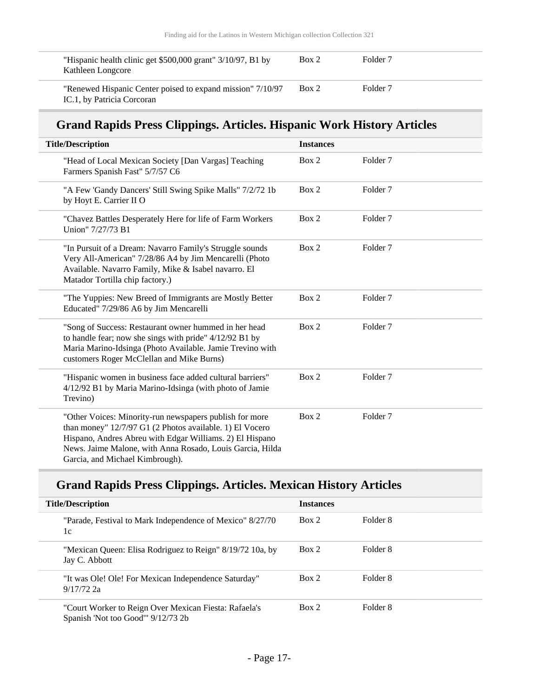| "Hispanic health clinic get \$500,000 grant" 3/10/97, B1 by<br>Kathleen Longcore         | Box 2 | Folder <sub>7</sub> |
|------------------------------------------------------------------------------------------|-------|---------------------|
| "Renewed Hispanic Center poised to expand mission" 7/10/97<br>IC.1, by Patricia Corcoran | Box 2 | Folder <sub>7</sub> |

### **Grand Rapids Press Clippings. Articles. Hispanic Work History Articles**

| <b>Title/Description</b>                                                                                                                                                                                                                                                        | <b>Instances</b> |                     |
|---------------------------------------------------------------------------------------------------------------------------------------------------------------------------------------------------------------------------------------------------------------------------------|------------------|---------------------|
|                                                                                                                                                                                                                                                                                 |                  |                     |
| "Head of Local Mexican Society [Dan Vargas] Teaching<br>Farmers Spanish Fast" 5/7/57 C6                                                                                                                                                                                         | Box 2            | Folder <sub>7</sub> |
| "A Few 'Gandy Dancers' Still Swing Spike Malls" 7/2/72 1b<br>by Hoyt E. Carrier II O                                                                                                                                                                                            | Box 2            | Folder <sub>7</sub> |
| "Chavez Battles Desperately Here for life of Farm Workers<br>Union" 7/27/73 B1                                                                                                                                                                                                  | Box 2            | Folder <sub>7</sub> |
| "In Pursuit of a Dream: Navarro Family's Struggle sounds<br>Very All-American" 7/28/86 A4 by Jim Mencarelli (Photo<br>Available. Navarro Family, Mike & Isabel navarro. El<br>Matador Tortilla chip factory.)                                                                   | Box 2            | Folder <sub>7</sub> |
| "The Yuppies: New Breed of Immigrants are Mostly Better<br>Educated" 7/29/86 A6 by Jim Mencarelli                                                                                                                                                                               | Box 2            | Folder <sub>7</sub> |
| "Song of Success: Restaurant owner hummed in her head<br>to handle fear; now she sings with pride" 4/12/92 B1 by<br>Maria Marino-Idsinga (Photo Available. Jamie Trevino with<br>customers Roger McClellan and Mike Burns)                                                      | Box 2            | Folder <sub>7</sub> |
| "Hispanic women in business face added cultural barriers"<br>4/12/92 B1 by Maria Marino-Idsinga (with photo of Jamie<br>Trevino)                                                                                                                                                | Box 2            | Folder <sub>7</sub> |
| "Other Voices: Minority-run newspapers publish for more<br>than money" 12/7/97 G1 (2 Photos available. 1) El Vocero<br>Hispano, Andres Abreu with Edgar Williams. 2) El Hispano<br>News. Jaime Malone, with Anna Rosado, Louis Garcia, Hilda<br>Garcia, and Michael Kimbrough). | Box 2            | Folder <sub>7</sub> |

### **Grand Rapids Press Clippings. Articles. Mexican History Articles**

| <b>Title/Description</b>                                                                    | <b>Instances</b> |          |  |
|---------------------------------------------------------------------------------------------|------------------|----------|--|
| "Parade, Festival to Mark Independence of Mexico" 8/27/70<br>1c                             | Box 2            | Folder 8 |  |
| "Mexican Queen: Elisa Rodriguez to Reign" 8/19/72 10a, by<br>Jay C. Abbott                  | Box 2            | Folder 8 |  |
| "It was Ole! Ole! For Mexican Independence Saturday"<br>$9/17/72$ 2a                        | Box 2            | Folder 8 |  |
| "Court Worker to Reign Over Mexican Fiesta: Rafaela's<br>Spanish 'Not too Good'" 9/12/73 2b | Box 2            | Folder 8 |  |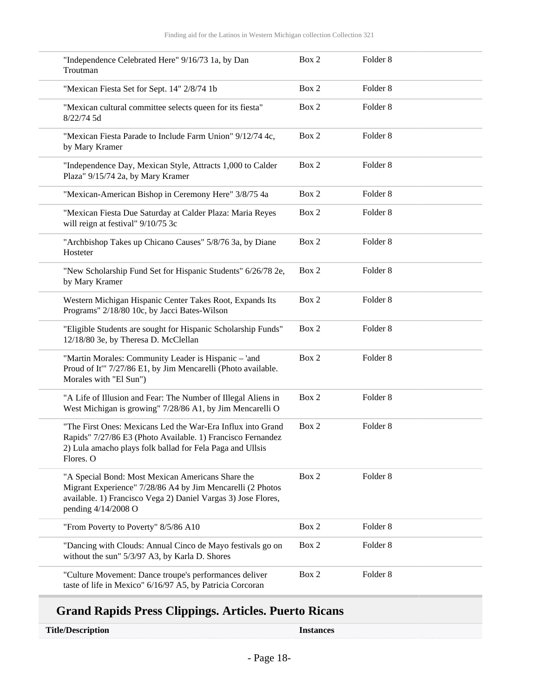| "Independence Celebrated Here" 9/16/73 1a, by Dan<br>Troutman                                                                                                                                           | Box 2 | Folder <sub>8</sub> |
|---------------------------------------------------------------------------------------------------------------------------------------------------------------------------------------------------------|-------|---------------------|
| "Mexican Fiesta Set for Sept. 14" 2/8/74 1b                                                                                                                                                             | Box 2 | Folder <sub>8</sub> |
| "Mexican cultural committee selects queen for its fiesta"<br>8/22/74 5d                                                                                                                                 | Box 2 | Folder <sub>8</sub> |
| "Mexican Fiesta Parade to Include Farm Union" 9/12/74 4c,<br>by Mary Kramer                                                                                                                             | Box 2 | Folder <sub>8</sub> |
| "Independence Day, Mexican Style, Attracts 1,000 to Calder<br>Plaza" 9/15/74 2a, by Mary Kramer                                                                                                         | Box 2 | Folder <sub>8</sub> |
| "Mexican-American Bishop in Ceremony Here" 3/8/75 4a                                                                                                                                                    | Box 2 | Folder <sub>8</sub> |
| "Mexican Fiesta Due Saturday at Calder Plaza: Maria Reyes<br>will reign at festival" 9/10/75 3c                                                                                                         | Box 2 | Folder <sub>8</sub> |
| "Archbishop Takes up Chicano Causes" 5/8/76 3a, by Diane<br>Hosteter                                                                                                                                    | Box 2 | Folder <sub>8</sub> |
| "New Scholarship Fund Set for Hispanic Students" 6/26/78 2e,<br>by Mary Kramer                                                                                                                          | Box 2 | Folder <sub>8</sub> |
| Western Michigan Hispanic Center Takes Root, Expands Its<br>Programs" 2/18/80 10c, by Jacci Bates-Wilson                                                                                                | Box 2 | Folder <sub>8</sub> |
| "Eligible Students are sought for Hispanic Scholarship Funds"<br>12/18/80 3e, by Theresa D. McClellan                                                                                                   | Box 2 | Folder <sub>8</sub> |
| "Martin Morales: Community Leader is Hispanic - 'and<br>Proud of It" 7/27/86 E1, by Jim Mencarelli (Photo available.<br>Morales with "El Sun")                                                          | Box 2 | Folder <sub>8</sub> |
| "A Life of Illusion and Fear: The Number of Illegal Aliens in<br>West Michigan is growing" 7/28/86 A1, by Jim Mencarelli O                                                                              | Box 2 | Folder <sub>8</sub> |
| "The First Ones: Mexicans Led the War-Era Influx into Grand<br>Rapids" 7/27/86 E3 (Photo Available. 1) Francisco Fernandez<br>2) Lula amacho plays folk ballad for Fela Paga and Ullsis<br>Flores. O    | Box 2 | Folder <sub>8</sub> |
| "A Special Bond: Most Mexican Americans Share the<br>Migrant Experience" 7/28/86 A4 by Jim Mencarelli (2 Photos<br>available. 1) Francisco Vega 2) Daniel Vargas 3) Jose Flores,<br>pending 4/14/2008 O | Box 2 | Folder <sub>8</sub> |
| "From Poverty to Poverty" 8/5/86 A10                                                                                                                                                                    | Box 2 | Folder <sub>8</sub> |
| "Dancing with Clouds: Annual Cinco de Mayo festivals go on<br>without the sun" 5/3/97 A3, by Karla D. Shores                                                                                            | Box 2 | Folder <sub>8</sub> |
| "Culture Movement: Dance troupe's performances deliver<br>taste of life in Mexico" 6/16/97 A5, by Patricia Corcoran                                                                                     | Box 2 | Folder <sub>8</sub> |

## **Grand Rapids Press Clippings. Articles. Puerto Ricans**

**Title/Description Instances**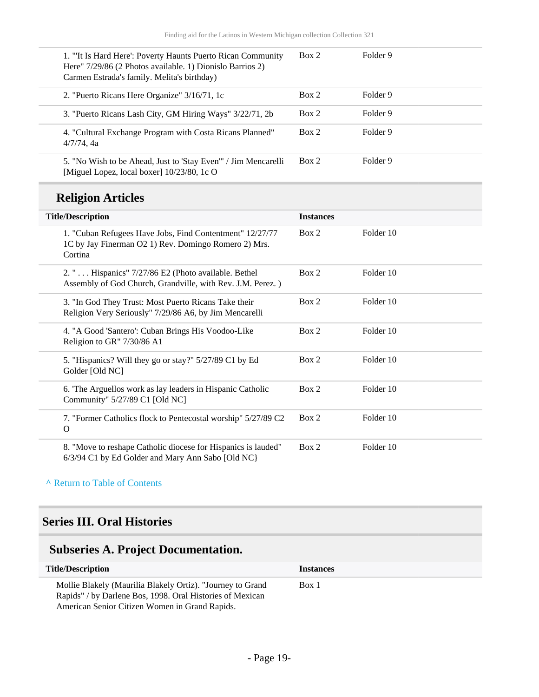| 1. "It Is Hard Here': Poverty Haunts Puerto Rican Community<br>Here" 7/29/86 (2 Photos available. 1) Dionislo Barrios 2)<br>Carmen Estrada's family. Melita's birthday) | Box 2 | Folder 9 |
|-------------------------------------------------------------------------------------------------------------------------------------------------------------------------|-------|----------|
| 2. "Puerto Ricans Here Organize" 3/16/71, 1c                                                                                                                            | Box 2 | Folder 9 |
| 3. "Puerto Ricans Lash City, GM Hiring Ways" 3/22/71, 2b                                                                                                                | Box 2 | Folder 9 |
| 4. "Cultural Exchange Program with Costa Ricans Planned"<br>$4/7/74$ , 4a                                                                                               | Box 2 | Folder 9 |
| 5. "No Wish to be Ahead, Just to 'Stay Even'" / Jim Mencarelli<br>[Miguel Lopez, local boxer] 10/23/80, 1c O                                                            | Box 2 | Folder 9 |

## **Religion Articles**

| <b>Title/Description</b>                                                                                                    | <b>Instances</b> |           |
|-----------------------------------------------------------------------------------------------------------------------------|------------------|-----------|
| 1. "Cuban Refugees Have Jobs, Find Contentment" 12/27/77<br>1C by Jay Finerman O2 1) Rev. Domingo Romero 2) Mrs.<br>Cortina | Box 2            | Folder 10 |
| 2. " $\dots$ Hispanics" 7/27/86 E2 (Photo available. Bethel<br>Assembly of God Church, Grandville, with Rev. J.M. Perez.)   | Box 2            | Folder 10 |
| 3. "In God They Trust: Most Puerto Ricans Take their<br>Religion Very Seriously" 7/29/86 A6, by Jim Mencarelli              | Box 2            | Folder 10 |
| 4. "A Good 'Santero': Cuban Brings His Voodoo-Like<br>Religion to GR" 7/30/86 A1                                            | Box 2            | Folder 10 |
| 5. "Hispanics? Will they go or stay?" 5/27/89 C1 by Ed<br>Golder [Old NC]                                                   | Box 2            | Folder 10 |
| 6. The Arguellos work as lay leaders in Hispanic Catholic<br>Community" 5/27/89 C1 [Old NC]                                 | Box 2            | Folder 10 |
| 7. "Former Catholics flock to Pentecostal worship" 5/27/89 C2<br>$\Omega$                                                   | Box 2            | Folder 10 |
| 8. "Move to reshape Catholic diocese for Hispanics is lauded"<br>6/3/94 C1 by Ed Golder and Mary Ann Sabo [Old NC]          | Box 2            | Folder 10 |

#### **^** [Return to Table of Contents](#page-1-0)

### <span id="page-18-0"></span>**Series III. Oral Histories**

## <span id="page-18-1"></span>**Subseries A. Project Documentation.**

| <b>Title/Description</b>                                                                                                | <b>Instances</b> |
|-------------------------------------------------------------------------------------------------------------------------|------------------|
| Mollie Blakely (Maurilia Blakely Ortiz). "Journey to Grand<br>Rapids" / by Darlene Bos, 1998. Oral Histories of Mexican | Box 1            |
| American Senior Citizen Women in Grand Rapids.                                                                          |                  |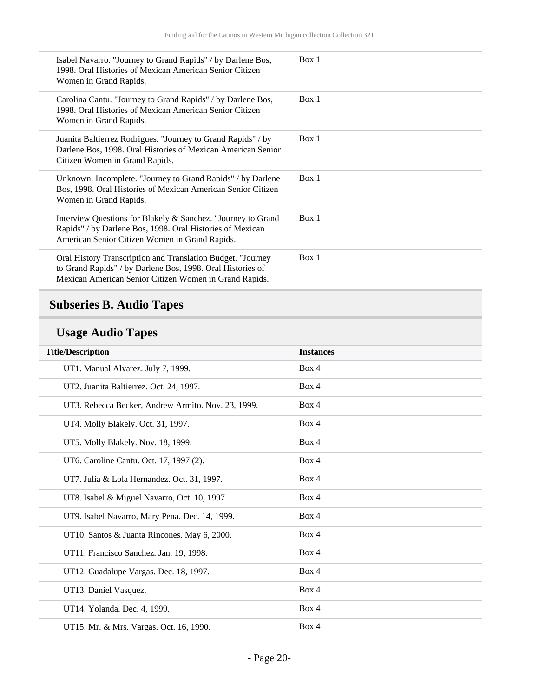| Isabel Navarro. "Journey to Grand Rapids" / by Darlene Bos,<br>1998. Oral Histories of Mexican American Senior Citizen<br>Women in Grand Rapids.                                    | Box 1 |
|-------------------------------------------------------------------------------------------------------------------------------------------------------------------------------------|-------|
| Carolina Cantu. "Journey to Grand Rapids" / by Darlene Bos,<br>1998. Oral Histories of Mexican American Senior Citizen<br>Women in Grand Rapids.                                    | Box 1 |
| Juanita Baltierrez Rodrigues. "Journey to Grand Rapids" / by<br>Darlene Bos, 1998. Oral Histories of Mexican American Senior<br>Citizen Women in Grand Rapids.                      | Box 1 |
| Unknown. Incomplete. "Journey to Grand Rapids" / by Darlene<br>Bos, 1998. Oral Histories of Mexican American Senior Citizen<br>Women in Grand Rapids.                               | Box 1 |
| Interview Questions for Blakely & Sanchez. "Journey to Grand<br>Rapids" / by Darlene Bos, 1998. Oral Histories of Mexican<br>American Senior Citizen Women in Grand Rapids.         | Box 1 |
| Oral History Transcription and Translation Budget. "Journey<br>to Grand Rapids" / by Darlene Bos, 1998. Oral Histories of<br>Mexican American Senior Citizen Women in Grand Rapids. | Box 1 |

## <span id="page-19-0"></span>**Subseries B. Audio Tapes**

## **Usage Audio Tapes**

| <b>Title/Description</b>                           | <b>Instances</b> |
|----------------------------------------------------|------------------|
| UT1. Manual Alvarez. July 7, 1999.                 | Box 4            |
| UT2. Juanita Baltierrez. Oct. 24, 1997.            | Box 4            |
| UT3. Rebecca Becker, Andrew Armito. Nov. 23, 1999. | Box 4            |
| UT4. Molly Blakely. Oct. 31, 1997.                 | Box 4            |
| UT5. Molly Blakely. Nov. 18, 1999.                 | Box 4            |
| UT6. Caroline Cantu. Oct. 17, 1997 (2).            | Box 4            |
| UT7. Julia & Lola Hernandez. Oct. 31, 1997.        | Box 4            |
| UT8. Isabel & Miguel Navarro, Oct. 10, 1997.       | Box 4            |
| UT9. Isabel Navarro, Mary Pena. Dec. 14, 1999.     | Box 4            |
| UT10. Santos & Juanta Rincones. May 6, 2000.       | Box 4            |
| UT11. Francisco Sanchez. Jan. 19, 1998.            | Box 4            |
| UT12. Guadalupe Vargas. Dec. 18, 1997.             | Box 4            |
| UT13. Daniel Vasquez.                              | Box 4            |
| UT14. Yolanda. Dec. 4, 1999.                       | Box 4            |
| UT15. Mr. & Mrs. Vargas. Oct. 16, 1990.            | Box 4            |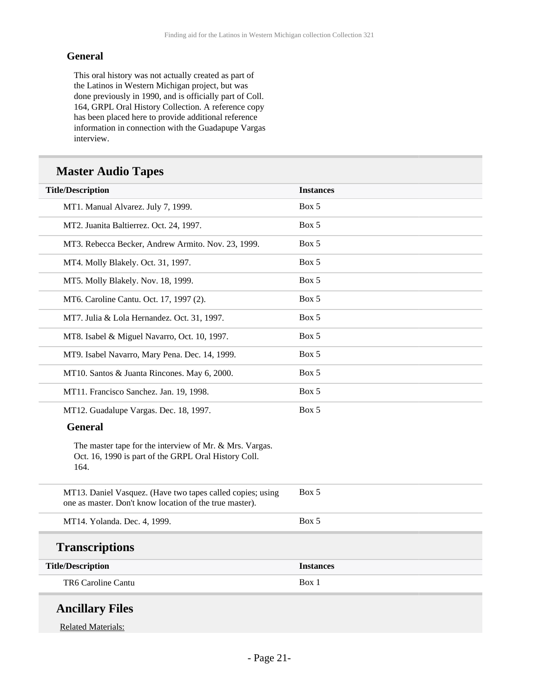#### **General**

This oral history was not actually created as part of the Latinos in Western Michigan project, but was done previously in 1990, and is officially part of Coll. 164, GRPL Oral History Collection. A reference copy has been placed here to provide additional reference information in connection with the Guadapupe Vargas interview.

#### **Master Audio Tapes**

| <b>Title/Description</b>                                                                                                | <b>Instances</b> |
|-------------------------------------------------------------------------------------------------------------------------|------------------|
| MT1. Manual Alvarez. July 7, 1999.                                                                                      | Box 5            |
| MT2. Juanita Baltierrez. Oct. 24, 1997.                                                                                 | Box 5            |
| MT3. Rebecca Becker, Andrew Armito. Nov. 23, 1999.                                                                      | Box 5            |
| MT4. Molly Blakely. Oct. 31, 1997.                                                                                      | Box 5            |
| MT5. Molly Blakely. Nov. 18, 1999.                                                                                      | Box 5            |
| MT6. Caroline Cantu. Oct. 17, 1997 (2).                                                                                 | Box 5            |
| MT7. Julia & Lola Hernandez. Oct. 31, 1997.                                                                             | Box 5            |
| MT8. Isabel & Miguel Navarro, Oct. 10, 1997.                                                                            | Box 5            |
| MT9. Isabel Navarro, Mary Pena. Dec. 14, 1999.                                                                          | Box 5            |
| MT10. Santos & Juanta Rincones. May 6, 2000.                                                                            | Box 5            |
| MT11. Francisco Sanchez. Jan. 19, 1998.                                                                                 | Box 5            |
| MT12. Guadalupe Vargas. Dec. 18, 1997.                                                                                  | Box 5            |
| <b>General</b>                                                                                                          |                  |
| The master tape for the interview of Mr. & Mrs. Vargas.<br>Oct. 16, 1990 is part of the GRPL Oral History Coll.<br>164. |                  |
| MT13. Daniel Vasquez. (Have two tapes called copies; using<br>one as master. Don't know location of the true master).   | Box 5            |
| MT14. Yolanda. Dec. 4, 1999.                                                                                            | Box 5            |
| <b>Transcriptions</b>                                                                                                   |                  |
| <b>Title/Description</b>                                                                                                | <b>Instances</b> |
| TR6 Caroline Cantu                                                                                                      | Box 1            |

Related Materials: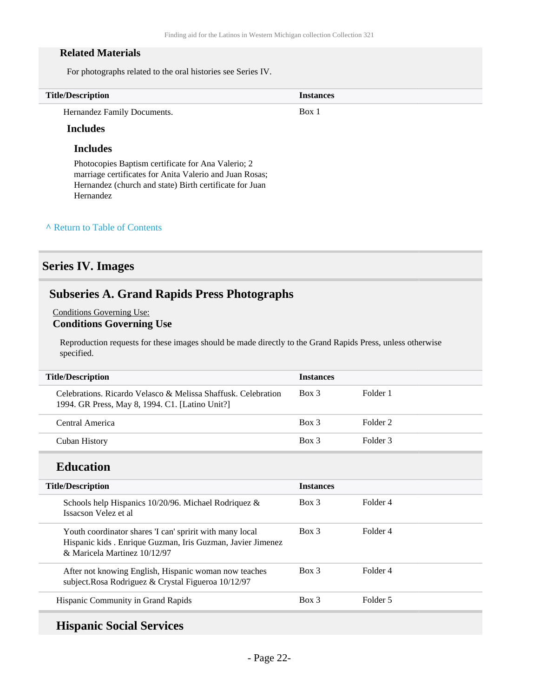#### **Related Materials**

For photographs related to the oral histories see Series IV.

| <b>Title/Description</b>    | <b>Instances</b> |  |
|-----------------------------|------------------|--|
| Hernandez Family Documents. | Box i            |  |

#### **Includes**

#### **Includes**

Photocopies Baptism certificate for Ana Valerio; 2 marriage certificates for Anita Valerio and Juan Rosas; Hernandez (church and state) Birth certificate for Juan Hernandez

#### **^** [Return to Table of Contents](#page-1-0)

#### <span id="page-21-0"></span>**Series IV. Images**

#### <span id="page-21-1"></span>**Subseries A. Grand Rapids Press Photographs**

#### Conditions Governing Use: **Conditions Governing Use**

Reproduction requests for these images should be made directly to the Grand Rapids Press, unless otherwise specified.

| <b>Title/Description</b>                                                                                                                                | <b>Instances</b> |                     |
|---------------------------------------------------------------------------------------------------------------------------------------------------------|------------------|---------------------|
| Celebrations, Ricardo Velasco & Melissa Shaffusk, Celebration<br>1994. GR Press, May 8, 1994. C1. [Latino Unit?]                                        | $Box\ 3$         | Folder 1            |
| Central America                                                                                                                                         | $Box$ 3          | Folder <sub>2</sub> |
| <b>Cuban History</b>                                                                                                                                    | $Box$ 3          | Folder <sub>3</sub> |
| <b>Education</b>                                                                                                                                        |                  |                     |
| <b>Title/Description</b>                                                                                                                                | <b>Instances</b> |                     |
| Schools help Hispanics 10/20/96. Michael Rodriquez &<br>Issacson Velez et al                                                                            | $Box\ 3$         | Folder 4            |
| Youth coordinator shares 'I can' spririt with many local<br>Hispanic kids . Enrique Guzman, Iris Guzman, Javier Jimenez<br>& Maricela Martinez 10/12/97 | $Box$ 3          | Folder 4            |
| After not knowing English, Hispanic woman now teaches<br>subject. Rosa Rodriguez & Crystal Figueroa 10/12/97                                            | $Box$ 3          | Folder 4            |
| Hispanic Community in Grand Rapids                                                                                                                      | $Box\ 3$         | Folder 5            |

#### **Hispanic Social Services**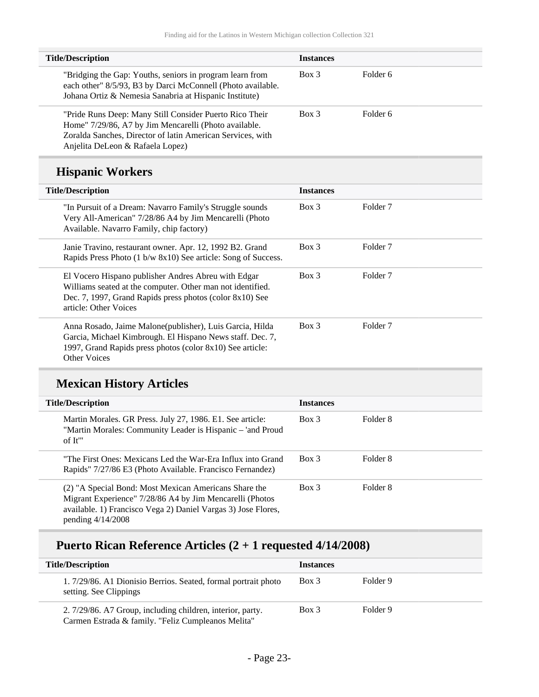| <b>Title/Description</b>                                                                                                                                                                                           | <b>Instances</b> |                     |  |
|--------------------------------------------------------------------------------------------------------------------------------------------------------------------------------------------------------------------|------------------|---------------------|--|
| "Bridging the Gap: Youths, seniors in program learn from<br>each other" 8/5/93, B3 by Darci McConnell (Photo available.<br>Johana Ortiz & Nemesia Sanabria at Hispanic Institute)                                  | Box 3            | Folder <sub>6</sub> |  |
| "Pride Runs Deep: Many Still Consider Puerto Rico Their<br>Home" 7/29/86, A7 by Jim Mencarelli (Photo available.<br>Zoralda Sanches, Director of latin American Services, with<br>Anjelita DeLeon & Rafaela Lopez) | $Box$ 3          | Folder <sub>6</sub> |  |
| <b>Hispanic Workers</b>                                                                                                                                                                                            |                  |                     |  |
| <b>Title/Description</b>                                                                                                                                                                                           | <b>Instances</b> |                     |  |
| "In Pursuit of a Dream: Navarro Family's Struggle sounds<br>Very All-American" 7/28/86 A4 by Jim Mencarelli (Photo<br>Available. Navarro Family, chip factory)                                                     | Box 3            | Folder <sub>7</sub> |  |
| Janie Travino, restaurant owner. Apr. 12, 1992 B2. Grand<br>Rapids Press Photo (1 b/w 8x10) See article: Song of Success.                                                                                          | Box 3            | Folder <sub>7</sub> |  |
| El Vocero Hispano publisher Andres Abreu with Edgar<br>Williams seated at the computer. Other man not identified.<br>Dec. 7, 1997, Grand Rapids press photos (color 8x10) See<br>article: Other Voices             | Box 3            | Folder <sub>7</sub> |  |
| Anna Rosado, Jaime Malone(publisher), Luis Garcia, Hilda<br>Garcia, Michael Kimbrough. El Hispano News staff. Dec. 7,<br>1997, Grand Rapids press photos (color 8x10) See article:<br><b>Other Voices</b>          | Box 3            | Folder <sub>7</sub> |  |

## **Mexican History Articles**

| <b>Title/Description</b>                                                                                                                                                                                  | <b>Instances</b> |          |
|-----------------------------------------------------------------------------------------------------------------------------------------------------------------------------------------------------------|------------------|----------|
| Martin Morales. GR Press. July 27, 1986. E1. See article:<br>"Martin Morales: Community Leader is Hispanic – 'and Proud<br>of It"                                                                         | Box 3            | Folder 8 |
| "The First Ones: Mexicans Led the War-Era Influx into Grand<br>Rapids" 7/27/86 E3 (Photo Available. Francisco Fernandez)                                                                                  | $Box$ 3          | Folder 8 |
| (2) "A Special Bond: Most Mexican Americans Share the<br>Migrant Experience" 7/28/86 A4 by Jim Mencarelli (Photos<br>available. 1) Francisco Vega 2) Daniel Vargas 3) Jose Flores,<br>pending $4/14/2008$ | Box 3            | Folder 8 |

### **Puerto Rican Reference Articles (2 + 1 requested 4/14/2008)**

| <b>Title/Description</b>                                                                                         | <b>Instances</b> |          |  |
|------------------------------------------------------------------------------------------------------------------|------------------|----------|--|
| 1. 7/29/86. A1 Dionisio Berrios. Seated, formal portrait photo<br>setting. See Clippings                         | $Box$ 3          | Folder 9 |  |
| 2. 7/29/86. A7 Group, including children, interior, party.<br>Carmen Estrada & family. "Feliz Cumpleanos Melita" | $Box$ 3          | Folder 9 |  |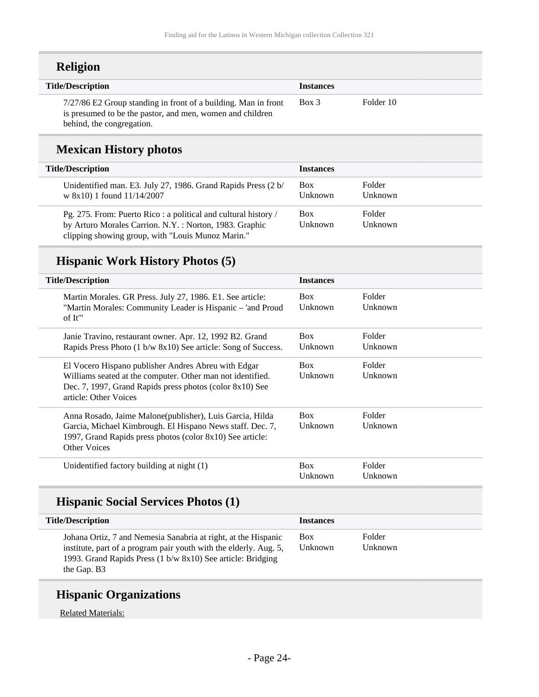| <b>Religion</b>                                                                                                                                          |                  |           |
|----------------------------------------------------------------------------------------------------------------------------------------------------------|------------------|-----------|
| <b>Title/Description</b>                                                                                                                                 | <b>Instances</b> |           |
| 7/27/86 E2 Group standing in front of a building. Man in front<br>is presumed to be the pastor, and men, women and children<br>behind, the congregation. | $Box$ 3          | Folder 10 |

### **Mexican History photos**

| <b>Title/Description</b>                                                                                                                                                      | <b>Instances</b>      |                   |
|-------------------------------------------------------------------------------------------------------------------------------------------------------------------------------|-----------------------|-------------------|
| Unidentified man. E3. July 27, 1986. Grand Rapids Press (2 b/<br>w $8x10$ ) 1 found $11/14/2007$                                                                              | <b>Box</b><br>Unknown | Folder<br>Unknown |
| Pg. 275. From: Puerto Rico: a political and cultural history /<br>by Arturo Morales Carrion. N.Y.: Norton, 1983. Graphic<br>clipping showing group, with "Louis Munoz Marin." | <b>Box</b><br>Unknown | Folder<br>Unknown |

### **Hispanic Work History Photos (5)**

| <b>Title/Description</b>                                                                                                                                                                               | <b>Instances</b>      |                   |
|--------------------------------------------------------------------------------------------------------------------------------------------------------------------------------------------------------|-----------------------|-------------------|
| Martin Morales. GR Press. July 27, 1986. E1. See article:<br>"Martin Morales: Community Leader is Hispanic - 'and Proud<br>of It"                                                                      | <b>Box</b><br>Unknown | Folder<br>Unknown |
| Janie Travino, restaurant owner. Apr. 12, 1992 B2. Grand<br>Rapids Press Photo (1 b/w 8x10) See article: Song of Success.                                                                              | <b>Box</b><br>Unknown | Folder<br>Unknown |
| El Vocero Hispano publisher Andres Abreu with Edgar<br>Williams seated at the computer. Other man not identified.<br>Dec. 7, 1997, Grand Rapids press photos (color 8x10) See<br>article: Other Voices | <b>Box</b><br>Unknown | Folder<br>Unknown |
| Anna Rosado, Jaime Malone(publisher), Luis Garcia, Hilda<br>Garcia, Michael Kimbrough. El Hispano News staff. Dec. 7,<br>1997, Grand Rapids press photos (color 8x10) See article:<br>Other Voices     | <b>Box</b><br>Unknown | Folder<br>Unknown |
| Unidentified factory building at night (1)                                                                                                                                                             | <b>Box</b><br>Unknown | Folder<br>Unknown |

### **Hispanic Social Services Photos (1)**

| <b>Title/Description</b>                                                                                                                                                                                          | <b>Instances</b>      |                   |
|-------------------------------------------------------------------------------------------------------------------------------------------------------------------------------------------------------------------|-----------------------|-------------------|
| Johana Ortiz, 7 and Nemesia Sanabria at right, at the Hispanic<br>institute, part of a program pair youth with the elderly. Aug. 5,<br>1993. Grand Rapids Press (1 b/w 8x10) See article: Bridging<br>the Gap. B3 | <b>Box</b><br>Unknown | Folder<br>Unknown |

### **Hispanic Organizations**

Related Materials: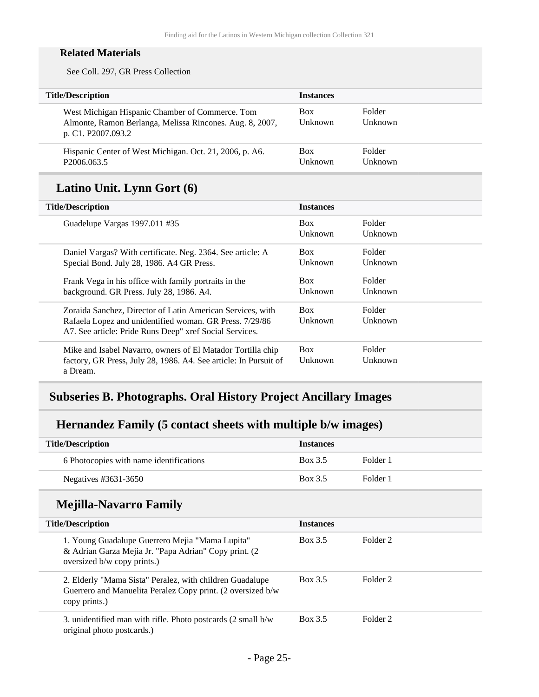#### **Related Materials**

See Coll. 297, GR Press Collection

| <b>Title/Description</b>                                                                                                          | <b>Instances</b>             |                          |
|-----------------------------------------------------------------------------------------------------------------------------------|------------------------------|--------------------------|
| West Michigan Hispanic Chamber of Commerce. Tom<br>Almonte, Ramon Berlanga, Melissa Rincones. Aug. 8, 2007,<br>p. C1. P2007.093.2 | <b>Box</b><br>Unknown        | <b>Folder</b><br>Unknown |
| Hispanic Center of West Michigan. Oct. 21, 2006, p. A6.<br>P <sub>2006.063.5</sub>                                                | <b>Box</b><br><b>Unknown</b> | <b>Folder</b><br>Unknown |

## **Latino Unit. Lynn Gort (6)**

| <b>Title/Description</b>                                                                                                                                                         | <b>Instances</b>             |                          |
|----------------------------------------------------------------------------------------------------------------------------------------------------------------------------------|------------------------------|--------------------------|
| Guadelupe Vargas 1997.011 #35                                                                                                                                                    | <b>Box</b><br>Unknown        | Folder<br>Unknown        |
| Daniel Vargas? With certificate. Neg. 2364. See article: A<br>Special Bond. July 28, 1986. A4 GR Press.                                                                          | <b>Box</b><br>Unknown        | Folder<br>Unknown        |
| Frank Vega in his office with family portraits in the<br>background. GR Press. July 28, 1986. A4.                                                                                | <b>Box</b><br>Unknown        | Folder<br>Unknown        |
| Zoraida Sanchez, Director of Latin American Services, with<br>Rafaela Lopez and unidentified woman. GR Press. 7/29/86<br>A7. See article: Pride Runs Deep" xref Social Services. | <b>Box</b><br><b>Unknown</b> | Folder<br><b>Unknown</b> |
| Mike and Isabel Navarro, owners of El Matador Tortilla chip<br>factory, GR Press, July 28, 1986. A4. See article: In Pursuit of<br>a Dream.                                      | <b>Box</b><br>Unknown        | Folder<br>Unknown        |

#### <span id="page-24-0"></span>**Subseries B. Photographs. Oral History Project Ancillary Images**

### **Hernandez Family (5 contact sheets with multiple b/w images)**

| <b>Title/Description</b>                | <b>Instances</b> |          |
|-----------------------------------------|------------------|----------|
| 6 Photocopies with name identifications | Box 3.5          | Folder 1 |
| Negatives #3631-3650                    | Box 3.5          | Folder 1 |

### **Mejilla-Navarro Family**

| <b>Title/Description</b>                                                                                                                 | <b>Instances</b> |                     |  |
|------------------------------------------------------------------------------------------------------------------------------------------|------------------|---------------------|--|
| 1. Young Guadalupe Guerrero Mejia "Mama Lupita"<br>& Adrian Garza Mejia Jr. "Papa Adrian" Copy print. (2)<br>oversized b/w copy prints.) | Box 3.5          | Folder <sub>2</sub> |  |
| 2. Elderly "Mama Sista" Peralez, with children Guadalupe<br>Guerrero and Manuelita Peralez Copy print. (2 oversized b/w<br>copy prints.) | Box 3.5          | Folder <sub>2</sub> |  |
| 3. unidentified man with rifle. Photo postcards $(2 \text{ small } b/w)$<br>original photo postcards.)                                   | Box 3.5          | Folder <sub>2</sub> |  |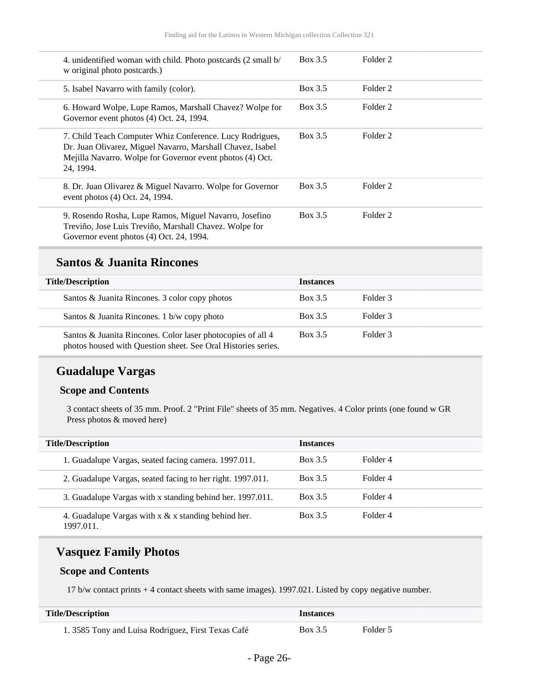| 4. unidentified woman with child. Photo postcards (2 small b/<br>w original photo postcards.)                                                                                                    | Box 3.5 | Folder <sub>2</sub> |
|--------------------------------------------------------------------------------------------------------------------------------------------------------------------------------------------------|---------|---------------------|
| 5. Isabel Navarro with family (color).                                                                                                                                                           | Box 3.5 | Folder 2            |
| 6. Howard Wolpe, Lupe Ramos, Marshall Chavez? Wolpe for<br>Governor event photos (4) Oct. 24, 1994.                                                                                              | Box 3.5 | Folder 2            |
| 7. Child Teach Computer Whiz Conference. Lucy Rodrigues,<br>Dr. Juan Olivarez, Miguel Navarro, Marshall Chavez, Isabel<br>Mejilla Navarro. Wolpe for Governor event photos (4) Oct.<br>24, 1994. | Box 3.5 | Folder 2            |
| 8. Dr. Juan Olivarez & Miguel Navarro. Wolpe for Governor<br>event photos (4) Oct. 24, 1994.                                                                                                     | Box 3.5 | Folder 2            |
| 9. Rosendo Rosha, Lupe Ramos, Miguel Navarro, Josefino<br>Treviño, Jose Luis Treviño, Marshall Chavez. Wolpe for<br>Governor event photos (4) Oct. 24, 1994.                                     | Box 3.5 | Folder 2            |

#### **Santos & Juanita Rincones**

| <b>Title/Description</b>                                                                                                     | <b>Instances</b> |          |
|------------------------------------------------------------------------------------------------------------------------------|------------------|----------|
| Santos & Juanita Rincones. 3 color copy photos                                                                               | Box 3.5          | Folder 3 |
| Santos & Juanita Rincones. 1 b/w copy photo                                                                                  | Box 3.5          | Folder 3 |
| Santos & Juanita Rincones. Color laser photocopies of all 4<br>photos housed with Question sheet. See Oral Histories series. | Box 3.5          | Folder 3 |

### **Guadalupe Vargas**

#### **Scope and Contents**

3 contact sheets of 35 mm. Proof. 2 "Print File" sheets of 35 mm. Negatives. 4 Color prints (one found w GR Press photos & moved here)

| <b>Title/Description</b>                                            | <b>Instances</b> |          |
|---------------------------------------------------------------------|------------------|----------|
| 1. Guadalupe Vargas, seated facing camera. 1997.011.                | Box 3.5          | Folder 4 |
| 2. Guadalupe Vargas, seated facing to her right. 1997.011.          | Box 3.5          | Folder 4 |
| 3. Guadalupe Vargas with x standing behind her. 1997.011.           | Box 3.5          | Folder 4 |
| 4. Guadalupe Vargas with $x \& x$ standing behind her.<br>1997.011. | Box 3.5          | Folder 4 |

#### **Vasquez Family Photos**

#### **Scope and Contents**

17 b/w contact prints + 4 contact sheets with same images). 1997.021. Listed by copy negative number.

| <b>Title/Description</b>                           | <i>Instances</i> |          |
|----------------------------------------------------|------------------|----------|
| 1. 3585 Tony and Luisa Rodriguez, First Texas Café | Box 3.5          | Folder 5 |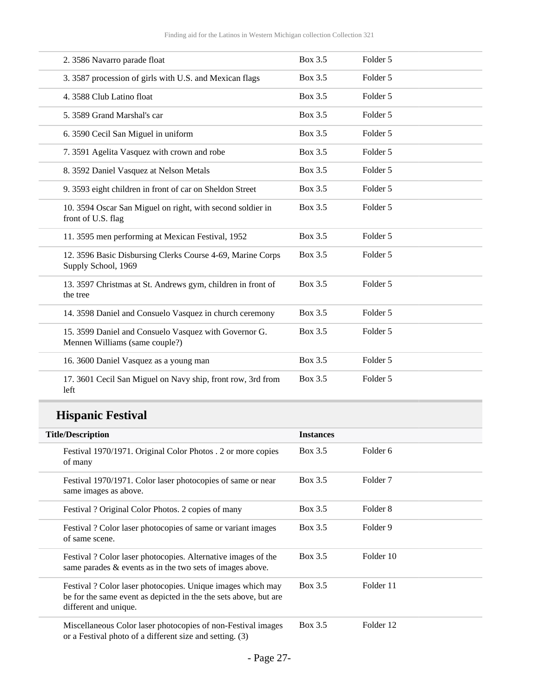| 2. 3586 Navarro parade float                                                            | Box 3.5 | Folder 5 |
|-----------------------------------------------------------------------------------------|---------|----------|
| 3. 3587 procession of girls with U.S. and Mexican flags                                 | Box 3.5 | Folder 5 |
| 4. 3588 Club Latino float                                                               | Box 3.5 | Folder 5 |
| 5. 3589 Grand Marshal's car                                                             | Box 3.5 | Folder 5 |
| 6. 3590 Cecil San Miguel in uniform                                                     | Box 3.5 | Folder 5 |
| 7. 3591 Agelita Vasquez with crown and robe                                             | Box 3.5 | Folder 5 |
| 8. 3592 Daniel Vasquez at Nelson Metals                                                 | Box 3.5 | Folder 5 |
| 9. 3593 eight children in front of car on Sheldon Street                                | Box 3.5 | Folder 5 |
| 10. 3594 Oscar San Miguel on right, with second soldier in<br>front of U.S. flag        | Box 3.5 | Folder 5 |
| 11. 3595 men performing at Mexican Festival, 1952                                       | Box 3.5 | Folder 5 |
| 12. 3596 Basic Disbursing Clerks Course 4-69, Marine Corps<br>Supply School, 1969       | Box 3.5 | Folder 5 |
| 13. 3597 Christmas at St. Andrews gym, children in front of<br>the tree                 | Box 3.5 | Folder 5 |
| 14. 3598 Daniel and Consuelo Vasquez in church ceremony                                 | Box 3.5 | Folder 5 |
| 15. 3599 Daniel and Consuelo Vasquez with Governor G.<br>Mennen Williams (same couple?) | Box 3.5 | Folder 5 |
| 16. 3600 Daniel Vasquez as a young man                                                  | Box 3.5 | Folder 5 |
| 17. 3601 Cecil San Miguel on Navy ship, front row, 3rd from<br>left                     | Box 3.5 | Folder 5 |

## **Hispanic Festival**

| <b>Title/Description</b>                                                                                                                                | <b>Instances</b> |                     |
|---------------------------------------------------------------------------------------------------------------------------------------------------------|------------------|---------------------|
| Festival 1970/1971. Original Color Photos . 2 or more copies<br>of many                                                                                 | Box 3.5          | Folder 6            |
| Festival 1970/1971. Color laser photocopies of same or near<br>same images as above.                                                                    | Box 3.5          | Folder <sub>7</sub> |
| Festival? Original Color Photos. 2 copies of many                                                                                                       | Box 3.5          | Folder 8            |
| Festival? Color laser photocopies of same or variant images<br>of same scene.                                                                           | Box 3.5          | Folder 9            |
| Festival? Color laser photocopies. Alternative images of the<br>same parades $\&$ events as in the two sets of images above.                            | Box 3.5          | Folder 10           |
| Festival? Color laser photocopies. Unique images which may<br>be for the same event as depicted in the the sets above, but are<br>different and unique. | Box 3.5          | Folder 11           |
| Miscellaneous Color laser photocopies of non-Festival images<br>or a Festival photo of a different size and setting. (3)                                | Box 3.5          | Folder 12           |